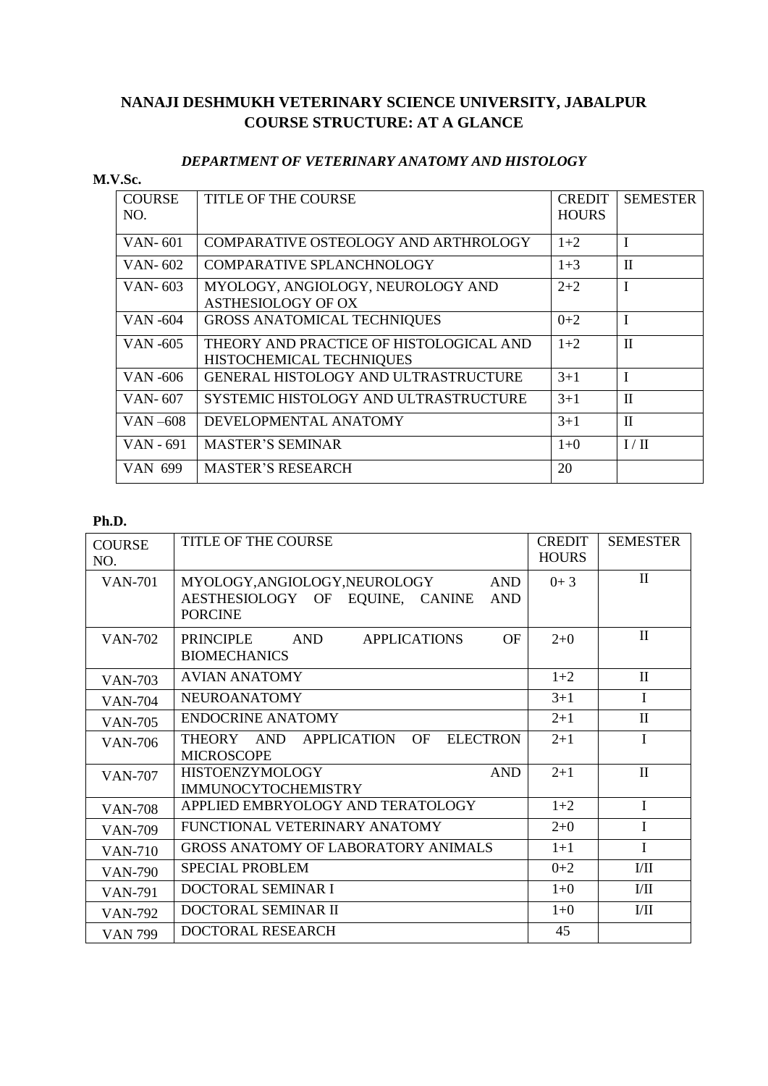# **NANAJI DESHMUKH VETERINARY SCIENCE UNIVERSITY, JABALPUR COURSE STRUCTURE: AT A GLANCE**

#### *DEPARTMENT OF VETERINARY ANATOMY AND HISTOLOGY*

#### **M.V.Sc.**

| <b>COURSE</b><br>NO. | <b>TITLE OF THE COURSE</b>                                          | <b>CREDIT</b><br><b>HOURS</b> | <b>SEMESTER</b> |
|----------------------|---------------------------------------------------------------------|-------------------------------|-----------------|
| VAN-601              | COMPARATIVE OSTEOLOGY AND ARTHROLOGY                                | $1+2$                         | I               |
| VAN- $602$           | COMPARATIVE SPLANCHNOLOGY                                           | $1 + 3$                       | $\mathbf{I}$    |
| VAN-603              | MYOLOGY, ANGIOLOGY, NEUROLOGY AND<br><b>ASTHESIOLOGY OF OX</b>      | $2 + 2$                       | I               |
| VAN -604             | <b>GROSS ANATOMICAL TECHNIQUES</b>                                  | $0+2$                         |                 |
| VAN -605             | THEORY AND PRACTICE OF HISTOLOGICAL AND<br>HISTOCHEMICAL TECHNIQUES | $1+2$                         | $\mathbf{I}$    |
| <b>VAN-606</b>       | GENERAL HISTOLOGY AND ULTRASTRUCTURE                                | $3 + 1$                       | T               |
| VAN-607              | SYSTEMIC HISTOLOGY AND ULTRASTRUCTURE                               | $3+1$                         | $\mathbf{I}$    |
| VAN-608              | DEVELOPMENTAL ANATOMY                                               | $3+1$                         | $\mathbf{I}$    |
| VAN - 691            | <b>MASTER'S SEMINAR</b>                                             | $1+0$                         | I/H             |
| VAN 699              | <b>MASTER'S RESEARCH</b>                                            | 20                            |                 |

| <b>COURSE</b><br>NO. | TITLE OF THE COURSE                                                                                          | <b>CREDIT</b><br><b>HOURS</b> | <b>SEMESTER</b>  |
|----------------------|--------------------------------------------------------------------------------------------------------------|-------------------------------|------------------|
| <b>VAN-701</b>       | MYOLOGY,ANGIOLOGY,NEUROLOGY<br><b>AND</b><br>AESTHESIOLOGY OF EQUINE, CANINE<br><b>AND</b><br><b>PORCINE</b> | $0+3$                         | $\mathbf{I}$     |
| <b>VAN-702</b>       | <b>PRINCIPLE</b><br><b>AND</b><br><b>APPLICATIONS</b><br>OF<br><b>BIOMECHANICS</b>                           | $2+0$                         | $\mathbf{I}$     |
| <b>VAN-703</b>       | <b>AVIAN ANATOMY</b>                                                                                         | $1+2$                         | $\mathbf{I}$     |
| <b>VAN-704</b>       | <b>NEUROANATOMY</b>                                                                                          | $3 + 1$                       | $\mathbf I$      |
| <b>VAN-705</b>       | <b>ENDOCRINE ANATOMY</b>                                                                                     | $2 + 1$                       | $\mathbf{I}$     |
| <b>VAN-706</b>       | APPLICATION<br>OF<br><b>ELECTRON</b><br>THEORY AND<br><b>MICROSCOPE</b>                                      | $2+1$                         | I                |
| <b>VAN-707</b>       | <b>AND</b><br><b>HISTOENZYMOLOGY</b><br><b>IMMUNOCYTOCHEMISTRY</b>                                           | $2 + 1$                       | $\mathbf{I}$     |
| <b>VAN-708</b>       | APPLIED EMBRYOLOGY AND TERATOLOGY                                                                            | $1+2$                         | $\mathbf{I}$     |
| <b>VAN-709</b>       | FUNCTIONAL VETERINARY ANATOMY                                                                                | $2+0$                         | $\mathbf I$      |
| <b>VAN-710</b>       | <b>GROSS ANATOMY OF LABORATORY ANIMALS</b>                                                                   | $1+1$                         | $\mathbf I$      |
| <b>VAN-790</b>       | <b>SPECIAL PROBLEM</b>                                                                                       | $0 + 2$                       | $\rm{I}/\rm{II}$ |
| <b>VAN-791</b>       | DOCTORAL SEMINAR I                                                                                           | $1+0$                         | $\rm{I}/\rm{II}$ |
| <b>VAN-792</b>       | DOCTORAL SEMINAR II                                                                                          | $1+0$                         | $V$ II           |
| <b>VAN 799</b>       | DOCTORAL RESEARCH                                                                                            | 45                            |                  |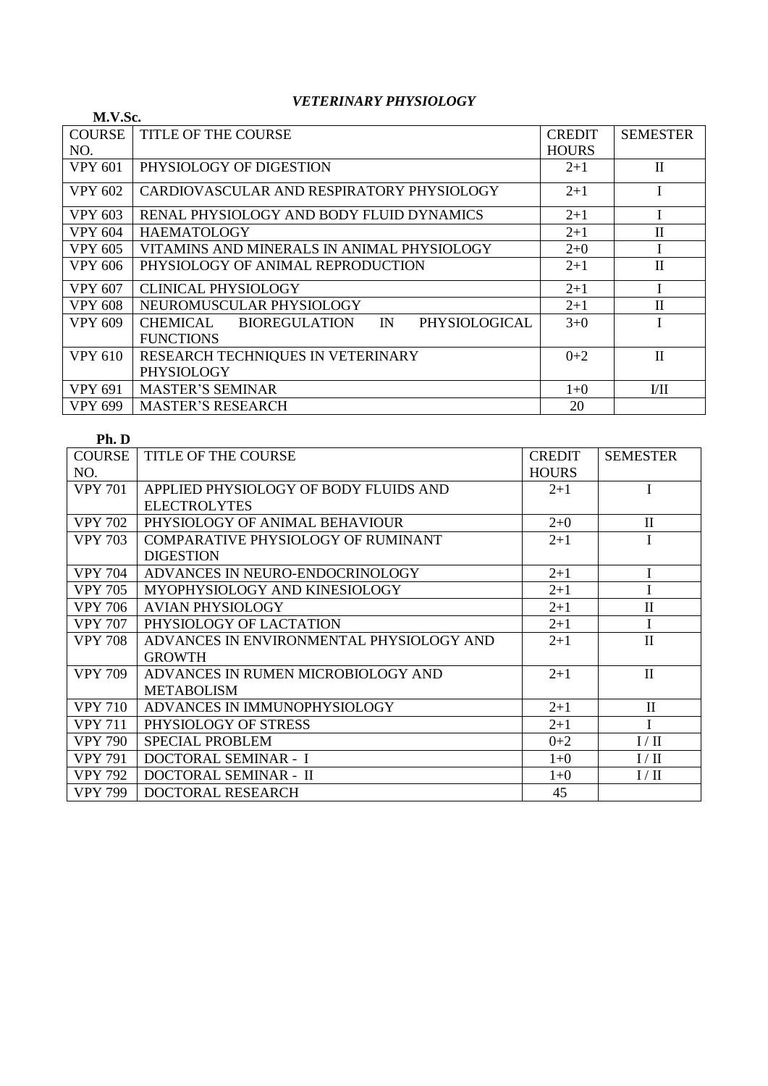## *VETERINARY PHYSIOLOGY*

| M.V.Sc.        |                                                                   |               |                 |
|----------------|-------------------------------------------------------------------|---------------|-----------------|
| <b>COURSE</b>  | <b>TITLE OF THE COURSE</b>                                        | <b>CREDIT</b> | <b>SEMESTER</b> |
| NO.            |                                                                   | <b>HOURS</b>  |                 |
| <b>VPY 601</b> | PHYSIOLOGY OF DIGESTION                                           | $2+1$         | $\mathbf{I}$    |
| <b>VPY 602</b> | CARDIOVASCULAR AND RESPIRATORY PHYSIOLOGY                         | $2+1$         |                 |
| <b>VPY 603</b> | RENAL PHYSIOLOGY AND BODY FLUID DYNAMICS                          | $2 + 1$       |                 |
| <b>VPY 604</b> | <b>HAEMATOLOGY</b>                                                | $2+1$         | $\mathbf{I}$    |
| VPY 605        | VITAMINS AND MINERALS IN ANIMAL PHYSIOLOGY                        | $2+0$         |                 |
| VPY 606        | PHYSIOLOGY OF ANIMAL REPRODUCTION                                 | $2 + 1$       | $\mathbf{I}$    |
| <b>VPY 607</b> | <b>CLINICAL PHYSIOLOGY</b>                                        | $2 + 1$       |                 |
| <b>VPY 608</b> | NEUROMUSCULAR PHYSIOLOGY                                          | $2 + 1$       | $\mathbf{I}$    |
| <b>VPY 609</b> | CHEMICAL<br><b>BIOREGULATION</b><br>$\mathbb{N}$<br>PHYSIOLOGICAL | $3+0$         |                 |
|                | <b>FUNCTIONS</b>                                                  |               |                 |
| <b>VPY 610</b> | RESEARCH TECHNIQUES IN VETERINARY                                 | $0+2$         | $\mathbf{I}$    |
|                | PHYSIOLOGY                                                        |               |                 |
| <b>VPY 691</b> | <b>MASTER'S SEMINAR</b>                                           | $1+0$         | VII             |
| VPY 699        | <b>MASTER'S RESEARCH</b>                                          | 20            |                 |

#### **Ph. D**

| <b>COURSE</b>  | <b>TITLE OF THE COURSE</b>                | <b>CREDIT</b> | <b>SEMESTER</b> |
|----------------|-------------------------------------------|---------------|-----------------|
| NO.            |                                           | <b>HOURS</b>  |                 |
| <b>VPY 701</b> | APPLIED PHYSIOLOGY OF BODY FLUIDS AND     | $2+1$         | I               |
|                | <b>ELECTROLYTES</b>                       |               |                 |
| <b>VPY 702</b> | PHYSIOLOGY OF ANIMAL BEHAVIOUR            | $2+0$         | $\mathbf{I}$    |
| <b>VPY 703</b> | <b>COMPARATIVE PHYSIOLOGY OF RUMINANT</b> | $2 + 1$       |                 |
|                | <b>DIGESTION</b>                          |               |                 |
| <b>VPY 704</b> | ADVANCES IN NEURO-ENDOCRINOLOGY           | $2+1$         | I               |
| <b>VPY 705</b> | MYOPHYSIOLOGY AND KINESIOLOGY             | $2 + 1$       | I               |
| <b>VPY 706</b> | <b>AVIAN PHYSIOLOGY</b>                   | $2+1$         | $\mathbf{I}$    |
| <b>VPY 707</b> | PHYSIOLOGY OF LACTATION                   | $2 + 1$       | Ī               |
| <b>VPY 708</b> | ADVANCES IN ENVIRONMENTAL PHYSIOLOGY AND  | $2+1$         | $\mathbf{I}$    |
|                | <b>GROWTH</b>                             |               |                 |
| <b>VPY 709</b> | ADVANCES IN RUMEN MICROBIOLOGY AND        | $2 + 1$       | $\mathbf{I}$    |
|                | <b>METABOLISM</b>                         |               |                 |
| <b>VPY 710</b> | ADVANCES IN IMMUNOPHYSIOLOGY              | $2+1$         | $\mathbf{I}$    |
| <b>VPY 711</b> | PHYSIOLOGY OF STRESS                      | $2 + 1$       | T               |
| <b>VPY 790</b> | <b>SPECIAL PROBLEM</b>                    | $0 + 2$       | I / II          |
| <b>VPY 791</b> | DOCTORAL SEMINAR - I                      | $1+0$         | I/II            |
| <b>VPY 792</b> | DOCTORAL SEMINAR - II                     | $1+0$         | I/II            |
| <b>VPY 799</b> | DOCTORAL RESEARCH                         | 45            |                 |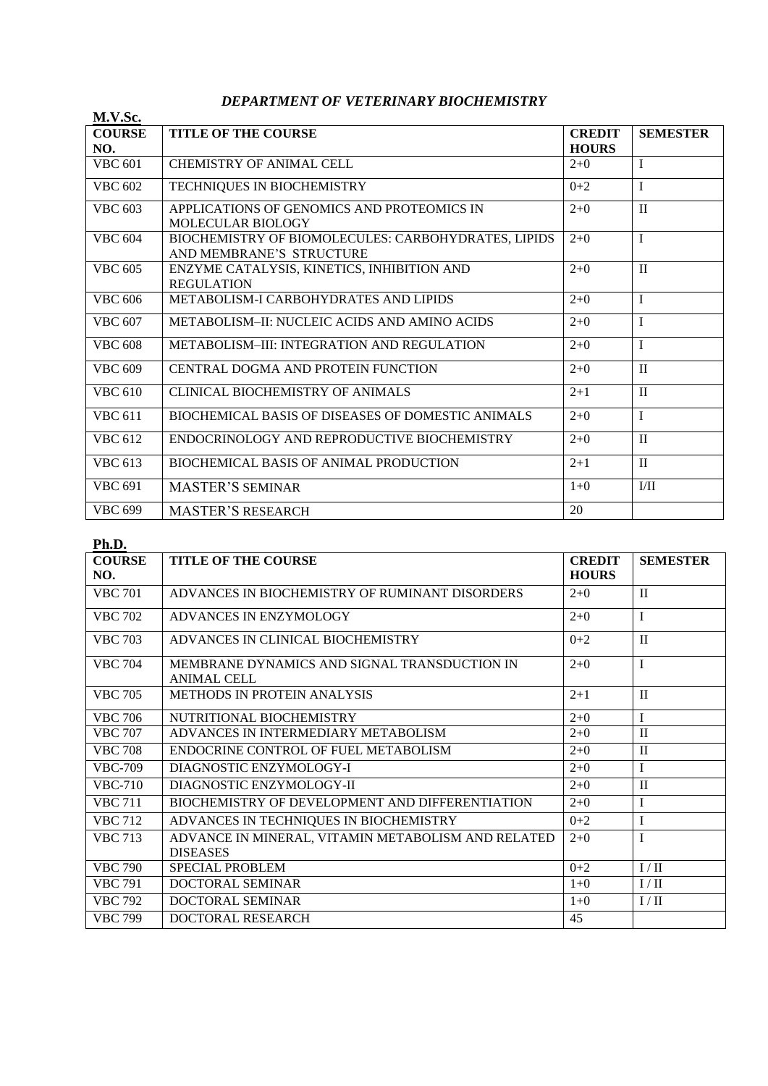#### *DEPARTMENT OF VETERINARY BIOCHEMISTRY*

| M.V.Sc.              |                                                                                 |                               |                 |
|----------------------|---------------------------------------------------------------------------------|-------------------------------|-----------------|
| <b>COURSE</b><br>NO. | <b>TITLE OF THE COURSE</b>                                                      | <b>CREDIT</b><br><b>HOURS</b> | <b>SEMESTER</b> |
| <b>VBC 601</b>       | CHEMISTRY OF ANIMAL CELL                                                        | $2+0$                         | T               |
| <b>VBC 602</b>       | TECHNIQUES IN BIOCHEMISTRY                                                      | $0+2$                         | $\mathbf{I}$    |
| <b>VBC 603</b>       | APPLICATIONS OF GENOMICS AND PROTEOMICS IN<br>MOLECULAR BIOLOGY                 | $2+0$                         | $\mathbf{I}$    |
| <b>VBC 604</b>       | BIOCHEMISTRY OF BIOMOLECULES: CARBOHYDRATES, LIPIDS<br>AND MEMBRANE'S STRUCTURE | $2+0$                         | $\mathbf I$     |
| <b>VBC 605</b>       | ENZYME CATALYSIS, KINETICS, INHIBITION AND<br><b>REGULATION</b>                 | $2+0$                         | $\mathbf{I}$    |
| <b>VBC 606</b>       | <b>METABOLISM-I CARBOHYDRATES AND LIPIDS</b>                                    | $2+0$                         | $\mathbf{I}$    |
| <b>VBC 607</b>       | <b>METABOLISM-II: NUCLEIC ACIDS AND AMINO ACIDS</b>                             | $2+0$                         | I               |
| <b>VBC 608</b>       | <b>METABOLISM-III: INTEGRATION AND REGULATION</b>                               | $2 + 0$                       | $\mathbf I$     |
| <b>VBC 609</b>       | CENTRAL DOGMA AND PROTEIN FUNCTION                                              | $2+0$                         | $\mathbf{I}$    |
| <b>VBC 610</b>       | <b>CLINICAL BIOCHEMISTRY OF ANIMALS</b>                                         | $2+1$                         | $\mathbf{I}$    |
| <b>VBC 611</b>       | BIOCHEMICAL BASIS OF DISEASES OF DOMESTIC ANIMALS                               | $2+0$                         | I               |
| <b>VBC 612</b>       | ENDOCRINOLOGY AND REPRODUCTIVE BIOCHEMISTRY                                     | $2+0$                         | $\mathbf{I}$    |
| <b>VBC 613</b>       | <b>BIOCHEMICAL BASIS OF ANIMAL PRODUCTION</b>                                   | $2+1$                         | $\mathbf{I}$    |
| <b>VBC 691</b>       | <b>MASTER'S SEMINAR</b>                                                         | $1+0$                         | I/II            |
| <b>VBC 699</b>       | <b>MASTER'S RESEARCH</b>                                                        | 20                            |                 |

| .<br><b>COURSE</b> | <b>TITLE OF THE COURSE</b>                         | <b>CREDIT</b> | <b>SEMESTER</b> |
|--------------------|----------------------------------------------------|---------------|-----------------|
| NO.                |                                                    | <b>HOURS</b>  |                 |
| <b>VBC 701</b>     | ADVANCES IN BIOCHEMISTRY OF RUMINANT DISORDERS     | $2+0$         | $\mathbf{H}$    |
| <b>VBC 702</b>     | ADVANCES IN ENZYMOLOGY                             | $2+0$         | T               |
| <b>VBC 703</b>     | ADVANCES IN CLINICAL BIOCHEMISTRY                  | $0 + 2$       | $\mathbf{I}$    |
| <b>VBC 704</b>     | MEMBRANE DYNAMICS AND SIGNAL TRANSDUCTION IN       | $2 + 0$       | $\mathbf{I}$    |
|                    | <b>ANIMAL CELL</b>                                 |               |                 |
| <b>VBC 705</b>     | <b>METHODS IN PROTEIN ANALYSIS</b>                 | $2+1$         | $\mathbf{I}$    |
| <b>VBC 706</b>     | NUTRITIONAL BIOCHEMISTRY                           | $2+0$         | I               |
| <b>VBC 707</b>     | ADVANCES IN INTERMEDIARY METABOLISM                | $2+0$         | $\mathbf{I}$    |
| <b>VBC 708</b>     | ENDOCRINE CONTROL OF FUEL METABOLISM               | $2+0$         | $\mathbf{I}$    |
| <b>VBC-709</b>     | DIAGNOSTIC ENZYMOLOGY-I                            | $2 + 0$       | I               |
| $VBC-710$          | DIAGNOSTIC ENZYMOLOGY-II                           | $2+0$         | $\mathbf{I}$    |
| <b>VBC 711</b>     | BIOCHEMISTRY OF DEVELOPMENT AND DIFFERENTIATION    | $2+0$         | $\mathbf I$     |
| <b>VBC 712</b>     | ADVANCES IN TECHNIQUES IN BIOCHEMISTRY             | $0 + 2$       | I               |
| <b>VBC 713</b>     | ADVANCE IN MINERAL, VITAMIN METABOLISM AND RELATED | $2+0$         | $\mathbf I$     |
|                    | <b>DISEASES</b>                                    |               |                 |
| <b>VBC 790</b>     | <b>SPECIAL PROBLEM</b>                             | $0 + 2$       | I / II          |
| <b>VBC 791</b>     | DOCTORAL SEMINAR                                   | $1 + 0$       | I/II            |
| <b>VBC 792</b>     | <b>DOCTORAL SEMINAR</b>                            | $1+0$         | I / II          |
| <b>VBC 799</b>     | DOCTORAL RESEARCH                                  | 45            |                 |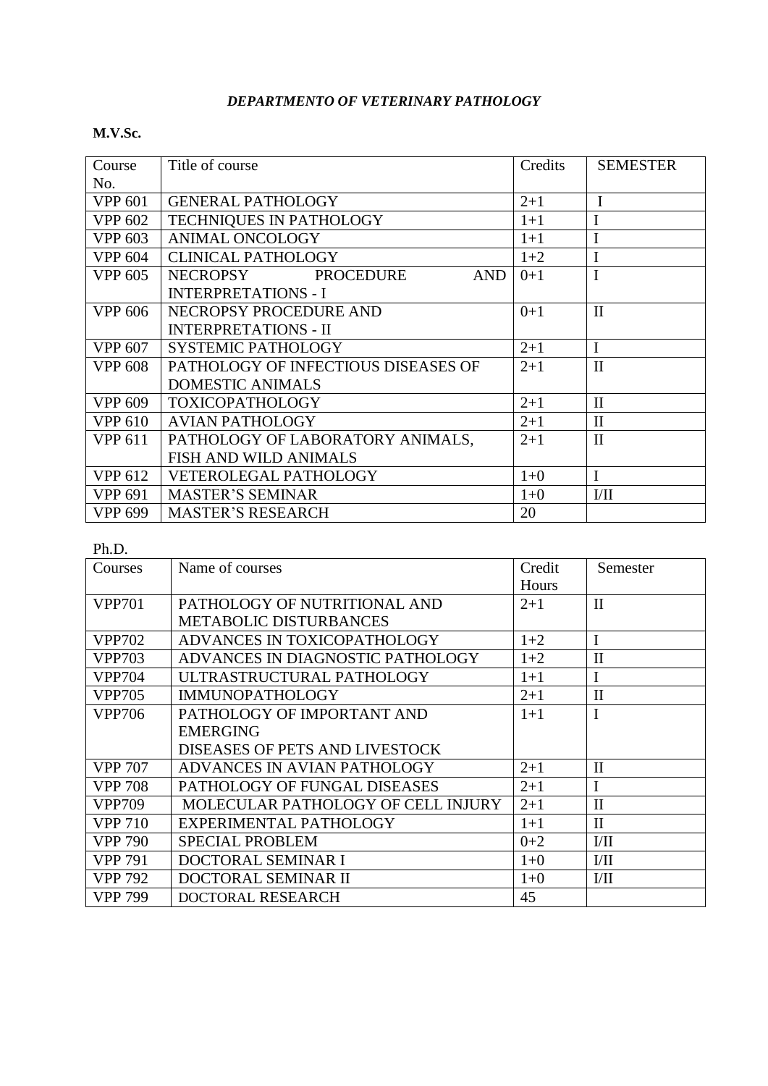## *DEPARTMENTO OF VETERINARY PATHOLOGY*

#### **M.V.Sc.**

| Course         | Title of course                     | Credits | <b>SEMESTER</b> |
|----------------|-------------------------------------|---------|-----------------|
| No.            |                                     |         |                 |
| <b>VPP 601</b> | <b>GENERAL PATHOLOGY</b>            | $2 + 1$ | $\mathbf I$     |
| <b>VPP 602</b> | TECHNIQUES IN PATHOLOGY             | $1+1$   |                 |
| <b>VPP 603</b> | <b>ANIMAL ONCOLOGY</b>              | $1+1$   |                 |
| <b>VPP 604</b> | <b>CLINICAL PATHOLOGY</b>           | $1+2$   | I               |
| <b>VPP 605</b> | NECROPSY PROCEDURE<br><b>AND</b>    | $0+1$   | I               |
|                | <b>INTERPRETATIONS - I</b>          |         |                 |
| <b>VPP 606</b> | NECROPSY PROCEDURE AND              | $0+1$   | $\mathbf{I}$    |
|                | <b>INTERPRETATIONS - II</b>         |         |                 |
| <b>VPP 607</b> | SYSTEMIC PATHOLOGY                  | $2 + 1$ | I               |
| <b>VPP 608</b> | PATHOLOGY OF INFECTIOUS DISEASES OF | $2 + 1$ | $\mathbf{I}$    |
|                | <b>DOMESTIC ANIMALS</b>             |         |                 |
| <b>VPP 609</b> | <b>TOXICOPATHOLOGY</b>              | $2 + 1$ | $\mathbf{I}$    |
| <b>VPP 610</b> | <b>AVIAN PATHOLOGY</b>              | $2 + 1$ | $\mathbf{I}$    |
| <b>VPP 611</b> | PATHOLOGY OF LABORATORY ANIMALS,    | $2 + 1$ | $\mathbf{I}$    |
|                | FISH AND WILD ANIMALS               |         |                 |
| <b>VPP 612</b> | <b>VETEROLEGAL PATHOLOGY</b>        | $1+0$   | I               |
| <b>VPP 691</b> | <b>MASTER'S SEMINAR</b>             | $1+0$   | I/II            |
| <b>VPP 699</b> | <b>MASTER'S RESEARCH</b>            | 20      |                 |

| Courses        | Name of courses                    | Credit  | Semester     |
|----------------|------------------------------------|---------|--------------|
|                |                                    | Hours   |              |
| <b>VPP701</b>  | PATHOLOGY OF NUTRITIONAL AND       | $2 + 1$ | $\mathbf{I}$ |
|                | <b>METABOLIC DISTURBANCES</b>      |         |              |
| <b>VPP702</b>  | ADVANCES IN TOXICOPATHOLOGY        | $1+2$   | I            |
| <b>VPP703</b>  | ADVANCES IN DIAGNOSTIC PATHOLOGY   | $1+2$   | $\mathbf{I}$ |
| <b>VPP704</b>  | ULTRASTRUCTURAL PATHOLOGY          | $1+1$   | I            |
| <b>VPP705</b>  | <b>IMMUNOPATHOLOGY</b>             | $2 + 1$ | $\mathbf{I}$ |
| <b>VPP706</b>  | PATHOLOGY OF IMPORTANT AND         | $1+1$   | I            |
|                | <b>EMERGING</b>                    |         |              |
|                | DISEASES OF PETS AND LIVESTOCK     |         |              |
| <b>VPP 707</b> | ADVANCES IN AVIAN PATHOLOGY        | $2 + 1$ | $\mathbf{I}$ |
| <b>VPP 708</b> | PATHOLOGY OF FUNGAL DISEASES       | $2 + 1$ | I            |
| <b>VPP709</b>  | MOLECULAR PATHOLOGY OF CELL INJURY | $2+1$   | $\mathbf{I}$ |
| <b>VPP 710</b> | EXPERIMENTAL PATHOLOGY             | $1 + 1$ | $\mathbf{I}$ |
| <b>VPP 790</b> | <b>SPECIAL PROBLEM</b>             | $0 + 2$ | VII          |
| <b>VPP 791</b> | DOCTORAL SEMINAR I                 | $1+0$   | VII          |
| VPP 792        | DOCTORAL SEMINAR II                | $1+0$   | VII          |
| VPP 799        | DOCTORAL RESEARCH                  | 45      |              |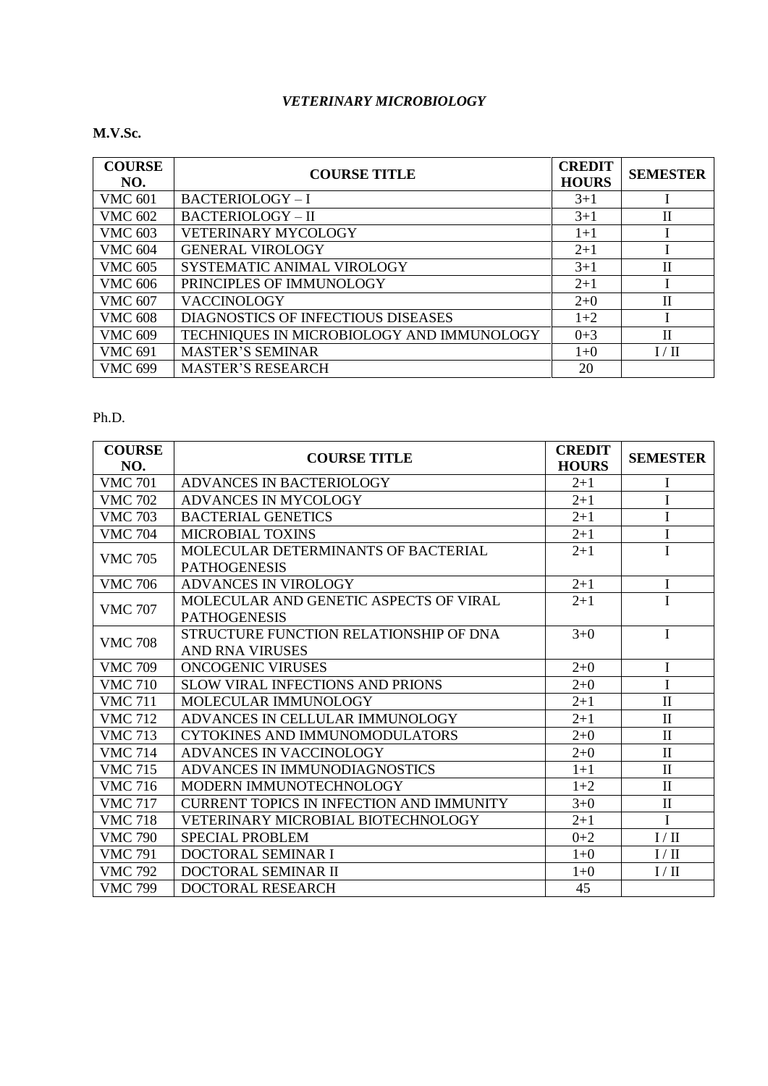#### *VETERINARY MICROBIOLOGY*

#### **M.V.Sc.**

| <b>COURSE</b><br>NO. | <b>COURSE TITLE</b>                       | <b>CREDIT</b><br><b>HOURS</b> | <b>SEMESTER</b> |
|----------------------|-------------------------------------------|-------------------------------|-----------------|
| <b>VMC 601</b>       | <b>BACTERIOLOGY-I</b>                     | $3 + 1$                       |                 |
| <b>VMC 602</b>       | <b>BACTERIOLOGY - II</b>                  | $3+1$                         | П               |
| <b>VMC 603</b>       | <b>VETERINARY MYCOLOGY</b>                | $1+1$                         |                 |
| <b>VMC 604</b>       | <b>GENERAL VIROLOGY</b>                   | $2 + 1$                       |                 |
| <b>VMC 605</b>       | SYSTEMATIC ANIMAL VIROLOGY                | $3+1$                         | П               |
| <b>VMC 606</b>       | PRINCIPLES OF IMMUNOLOGY                  | $2 + 1$                       |                 |
| <b>VMC 607</b>       | <b>VACCINOLOGY</b>                        | $2 + 0$                       | П               |
| <b>VMC 608</b>       | DIAGNOSTICS OF INFECTIOUS DISEASES        | $1+2$                         |                 |
| <b>VMC 609</b>       | TECHNIQUES IN MICROBIOLOGY AND IMMUNOLOGY | $0 + 3$                       | П               |
| <b>VMC 691</b>       | <b>MASTER'S SEMINAR</b>                   | $1+0$                         | I/II            |
| <b>VMC 699</b>       | <b>MASTER'S RESEARCH</b>                  | 20                            |                 |

| <b>COURSE</b><br>NO. | <b>COURSE TITLE</b>                                              | <b>CREDIT</b><br><b>HOURS</b> | <b>SEMESTER</b> |
|----------------------|------------------------------------------------------------------|-------------------------------|-----------------|
| <b>VMC 701</b>       | ADVANCES IN BACTERIOLOGY                                         | $2 + 1$                       | I               |
| <b>VMC 702</b>       | ADVANCES IN MYCOLOGY                                             | $2 + 1$                       | I               |
| <b>VMC 703</b>       | <b>BACTERIAL GENETICS</b>                                        | $2 + 1$                       | I               |
| <b>VMC 704</b>       | <b>MICROBIAL TOXINS</b>                                          | $2+1$                         | $\mathbf I$     |
| <b>VMC 705</b>       | MOLECULAR DETERMINANTS OF BACTERIAL<br><b>PATHOGENESIS</b>       | $2 + 1$                       | I               |
| <b>VMC 706</b>       | <b>ADVANCES IN VIROLOGY</b>                                      | $2+1$                         | I               |
| <b>VMC 707</b>       | MOLECULAR AND GENETIC ASPECTS OF VIRAL<br><b>PATHOGENESIS</b>    | $2 + 1$                       | I               |
| <b>VMC 708</b>       | STRUCTURE FUNCTION RELATIONSHIP OF DNA<br><b>AND RNA VIRUSES</b> | $3+0$                         | $\mathbf{I}$    |
| <b>VMC 709</b>       | <b>ONCOGENIC VIRUSES</b>                                         | $2+0$                         | I               |
| <b>VMC 710</b>       | <b>SLOW VIRAL INFECTIONS AND PRIONS</b>                          | $2+0$                         | I               |
| <b>VMC 711</b>       | MOLECULAR IMMUNOLOGY                                             | $2 + 1$                       | $\mathbf{I}$    |
| <b>VMC 712</b>       | ADVANCES IN CELLULAR IMMUNOLOGY                                  | $2+1$                         | $\mathbf{I}$    |
| <b>VMC 713</b>       | <b>CYTOKINES AND IMMUNOMODULATORS</b>                            | $2 + 0$                       | $\rm II$        |
| <b>VMC 714</b>       | ADVANCES IN VACCINOLOGY                                          | $2+0$                         | $\mathbf{I}$    |
| <b>VMC 715</b>       | ADVANCES IN IMMUNODIAGNOSTICS                                    | $1+1$                         | $\mathbf{I}$    |
| <b>VMC 716</b>       | MODERN IMMUNOTECHNOLOGY                                          | $1+2$                         | $\mathbf{I}$    |
| <b>VMC 717</b>       | <b>CURRENT TOPICS IN INFECTION AND IMMUNITY</b>                  | $3 + 0$                       | $\mathbf{I}$    |
| <b>VMC 718</b>       | VETERINARY MICROBIAL BIOTECHNOLOGY                               | $2 + 1$                       | I               |
| <b>VMC 790</b>       | <b>SPECIAL PROBLEM</b>                                           | $0 + 2$                       | I/II            |
| <b>VMC 791</b>       | DOCTORAL SEMINAR I                                               | $1+0$                         | I / II          |
| <b>VMC 792</b>       | DOCTORAL SEMINAR II                                              | $1+0$                         | I/II            |
| <b>VMC 799</b>       | <b>DOCTORAL RESEARCH</b>                                         | 45                            |                 |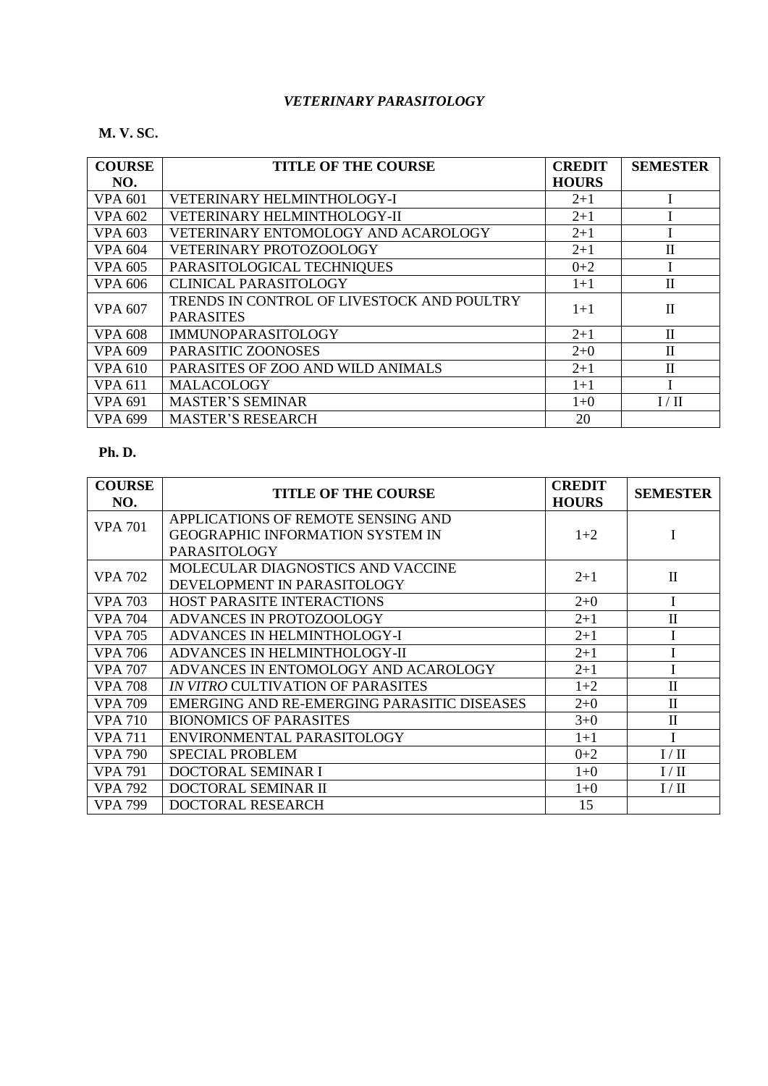#### *VETERINARY PARASITOLOGY*

#### **M. V. SC.**

| <b>COURSE</b>  | <b>TITLE OF THE COURSE</b>                 | <b>CREDIT</b> | <b>SEMESTER</b> |
|----------------|--------------------------------------------|---------------|-----------------|
| NO.            |                                            | <b>HOURS</b>  |                 |
| <b>VPA 601</b> | VETERINARY HELMINTHOLOGY-I                 | $2+1$         |                 |
| <b>VPA 602</b> | <b>VETERINARY HELMINTHOLOGY-II</b>         | $2+1$         |                 |
| <b>VPA 603</b> | VETERINARY ENTOMOLOGY AND ACAROLOGY        | $2+1$         |                 |
| <b>VPA 604</b> | VETERINARY PROTOZOOLOGY                    | $2+1$         | $\rm _{II}$     |
| <b>VPA 605</b> | PARASITOLOGICAL TECHNIQUES                 | $0 + 2$       |                 |
| VPA 606        | <b>CLINICAL PARASITOLOGY</b>               | $1+1$         | $\rm _{II}$     |
| <b>VPA 607</b> | TRENDS IN CONTROL OF LIVESTOCK AND POULTRY | $1 + 1$       | $\mathbf{I}$    |
|                | <b>PARASITES</b>                           |               |                 |
| <b>VPA 608</b> | <b>IMMUNOPARASITOLOGY</b>                  | $2+1$         | $\mathbf{I}$    |
| <b>VPA 609</b> | PARASITIC ZOONOSES                         | $2+0$         | $\mathbf{I}$    |
| <b>VPA 610</b> | PARASITES OF ZOO AND WILD ANIMALS          | $2 + 1$       | $\mathbf{I}$    |
| <b>VPA 611</b> | <b>MALACOLOGY</b>                          | $1+1$         |                 |
| <b>VPA 691</b> | <b>MASTER'S SEMINAR</b>                    | $1+0$         | I/II            |
| <b>VPA 699</b> | <b>MASTER'S RESEARCH</b>                   | 20            |                 |

| <b>COURSE</b><br>NO. | <b>TITLE OF THE COURSE</b>                  | <b>CREDIT</b><br><b>HOURS</b> | <b>SEMESTER</b> |
|----------------------|---------------------------------------------|-------------------------------|-----------------|
| <b>VPA 701</b>       | APPLICATIONS OF REMOTE SENSING AND          |                               |                 |
|                      | <b>GEOGRAPHIC INFORMATION SYSTEM IN</b>     | $1+2$                         |                 |
|                      | <b>PARASITOLOGY</b>                         |                               |                 |
| <b>VPA 702</b>       | MOLECULAR DIAGNOSTICS AND VACCINE           | $2+1$                         | $\rm II$        |
|                      | DEVELOPMENT IN PARASITOLOGY                 |                               |                 |
| <b>VPA</b> 703       | HOST PARASITE INTERACTIONS                  | $2+0$                         |                 |
| <b>VPA</b> 704       | ADVANCES IN PROTOZOOLOGY                    | $2+1$                         | $\rm II$        |
| <b>VPA 705</b>       | ADVANCES IN HELMINTHOLOGY-I                 | $2 + 1$                       |                 |
| <b>VPA 706</b>       | ADVANCES IN HELMINTHOLOGY-II                | $2 + 1$                       |                 |
| <b>VPA 707</b>       | ADVANCES IN ENTOMOLOGY AND ACAROLOGY        | $2 + 1$                       |                 |
| <b>VPA 708</b>       | <b>IN VITRO CULTIVATION OF PARASITES</b>    | $1+2$                         | $\mathbf{I}$    |
| <b>VPA 709</b>       | EMERGING AND RE-EMERGING PARASITIC DISEASES | $2+0$                         | $\mathbf{I}$    |
| <b>VPA 710</b>       | <b>BIONOMICS OF PARASITES</b>               | $3+0$                         | $\mathbf{I}$    |
| <b>VPA 711</b>       | ENVIRONMENTAL PARASITOLOGY                  | $1+1$                         |                 |
| <b>VPA 790</b>       | <b>SPECIAL PROBLEM</b>                      | $0+2$                         | I/II            |
| <b>VPA 791</b>       | DOCTORAL SEMINAR I                          | $1+0$                         | I/II            |
| <b>VPA 792</b>       | DOCTORAL SEMINAR II                         | $1+0$                         | I/II            |
| <b>VPA 799</b>       | DOCTORAL RESEARCH                           | 15                            |                 |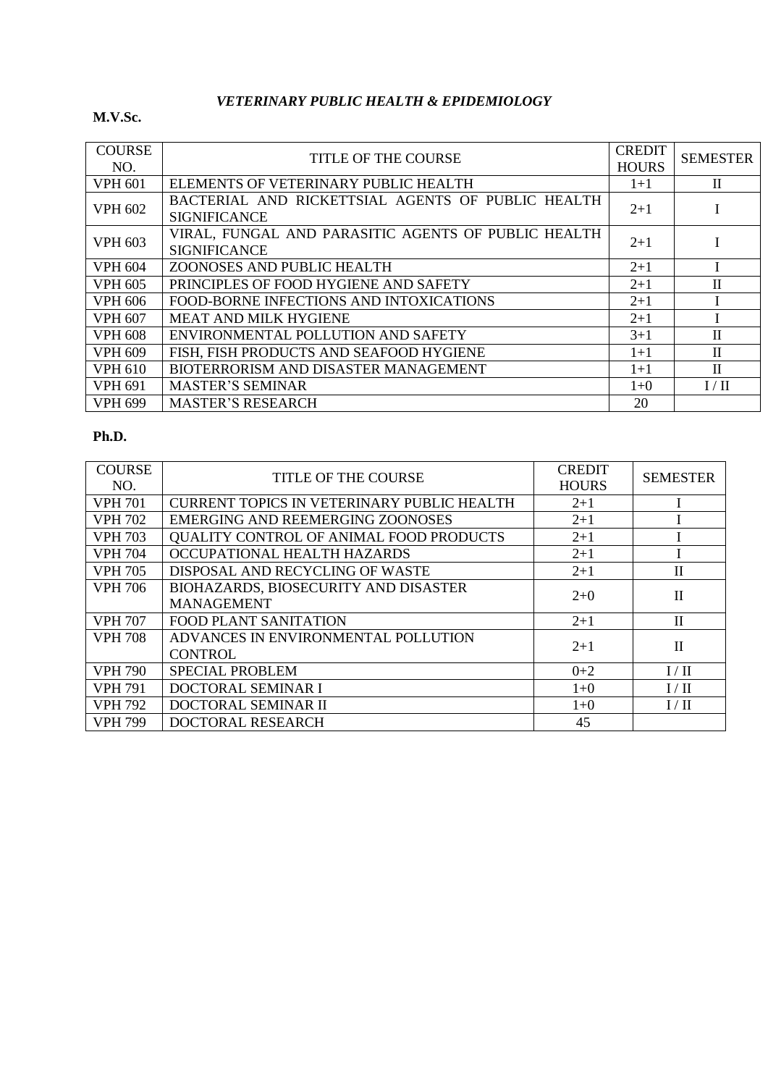## *VETERINARY PUBLIC HEALTH & EPIDEMIOLOGY*

#### **M.V.Sc.**

| <b>COURSE</b><br>NO. | <b>TITLE OF THE COURSE</b>                                                 | <b>CREDIT</b><br><b>HOURS</b> | <b>SEMESTER</b> |
|----------------------|----------------------------------------------------------------------------|-------------------------------|-----------------|
| <b>VPH 601</b>       | ELEMENTS OF VETERINARY PUBLIC HEALTH                                       | $1 + 1$                       | $\mathbf{I}$    |
| <b>VPH 602</b>       | BACTERIAL AND RICKETTSIAL AGENTS OF PUBLIC HEALTH<br><b>SIGNIFICANCE</b>   | $2 + 1$                       |                 |
| <b>VPH 603</b>       | VIRAL, FUNGAL AND PARASITIC AGENTS OF PUBLIC HEALTH<br><b>SIGNIFICANCE</b> | $2 + 1$                       |                 |
| VPH 604              | ZOONOSES AND PUBLIC HEALTH                                                 | $2+1$                         |                 |
| <b>VPH 605</b>       | PRINCIPLES OF FOOD HYGIENE AND SAFETY                                      | $2+1$                         | $\mathbf{I}$    |
| VPH 606              | FOOD-BORNE INFECTIONS AND INTOXICATIONS                                    | $2+1$                         |                 |
| <b>VPH 607</b>       | <b>MEAT AND MILK HYGIENE</b>                                               | $2+1$                         |                 |
| <b>VPH 608</b>       | ENVIRONMENTAL POLLUTION AND SAFETY                                         | $3 + 1$                       | $\mathbf{I}$    |
| <b>VPH 609</b>       | FISH, FISH PRODUCTS AND SEAFOOD HYGIENE                                    | $1+1$                         | $\mathbf{I}$    |
| <b>VPH 610</b>       | BIOTERRORISM AND DISASTER MANAGEMENT                                       | $1+1$                         | $\mathbf{I}$    |
| <b>VPH 691</b>       | <b>MASTER'S SEMINAR</b>                                                    | $1 + 0$                       | I/II            |
| <b>VPH 699</b>       | <b>MASTER'S RESEARCH</b>                                                   | 20                            |                 |

| <b>COURSE</b><br>NO. | <b>TITLE OF THE COURSE</b>                        | <b>CREDIT</b><br><b>HOURS</b> | <b>SEMESTER</b> |
|----------------------|---------------------------------------------------|-------------------------------|-----------------|
| <b>VPH 701</b>       | <b>CURRENT TOPICS IN VETERINARY PUBLIC HEALTH</b> | $2+1$                         |                 |
| <b>VPH 702</b>       | EMERGING AND REEMERGING ZOONOSES                  | $2 + 1$                       |                 |
| <b>VPH 703</b>       | QUALITY CONTROL OF ANIMAL FOOD PRODUCTS           | $2 + 1$                       |                 |
| <b>VPH 704</b>       | OCCUPATIONAL HEALTH HAZARDS                       | $2 + 1$                       |                 |
| <b>VPH 705</b>       | DISPOSAL AND RECYCLING OF WASTE                   | $2+1$                         | П               |
| <b>VPH 706</b>       | BIOHAZARDS, BIOSECURITY AND DISASTER              | $2+0$                         | $\mathbf{I}$    |
|                      | <b>MANAGEMENT</b>                                 |                               |                 |
| <b>VPH 707</b>       | <b>FOOD PLANT SANITATION</b>                      | $2 + 1$                       | $\mathbf{I}$    |
| <b>VPH 708</b>       | ADVANCES IN ENVIRONMENTAL POLLUTION               | $2+1$                         | Π               |
|                      | <b>CONTROL</b>                                    |                               |                 |
| <b>VPH 790</b>       | <b>SPECIAL PROBLEM</b>                            | $0+2$                         | I/II            |
| <b>VPH 791</b>       | DOCTORAL SEMINAR I                                | $1 + 0$                       | I/II            |
| <b>VPH 792</b>       | DOCTORAL SEMINAR II                               | $1+0$                         | I / II          |
| <b>VPH 799</b>       | DOCTORAL RESEARCH                                 | 45                            |                 |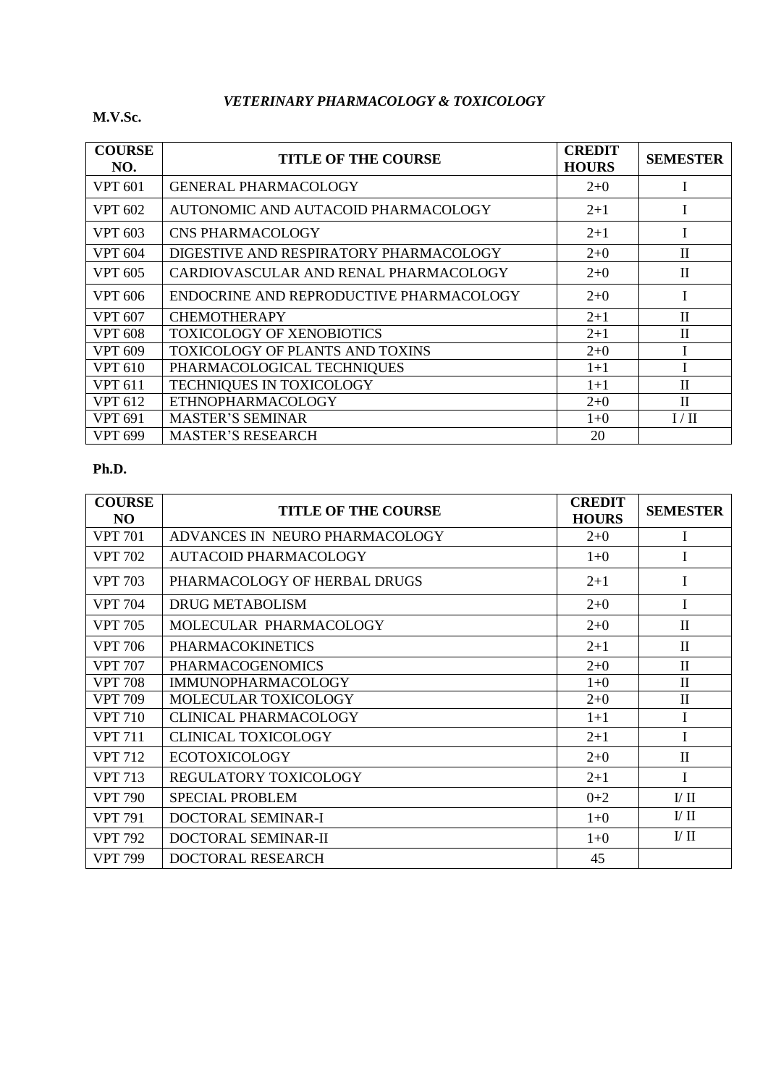# *VETERINARY PHARMACOLOGY & TOXICOLOGY*

#### **M.V.Sc.**

| <b>COURSE</b><br>NO. | <b>TITLE OF THE COURSE</b>              | <b>CREDIT</b><br><b>HOURS</b> | <b>SEMESTER</b> |
|----------------------|-----------------------------------------|-------------------------------|-----------------|
| <b>VPT 601</b>       | <b>GENERAL PHARMACOLOGY</b>             | $2+0$                         |                 |
| <b>VPT 602</b>       | AUTONOMIC AND AUTACOID PHARMACOLOGY     | $2 + 1$                       |                 |
| <b>VPT 603</b>       | <b>CNS PHARMACOLOGY</b>                 | $2 + 1$                       |                 |
| <b>VPT 604</b>       | DIGESTIVE AND RESPIRATORY PHARMACOLOGY  | $2+0$                         | $\mathbf{I}$    |
| <b>VPT 605</b>       | CARDIOVASCULAR AND RENAL PHARMACOLOGY   | $2+0$                         | $\mathbf{I}$    |
| VPT 606              | ENDOCRINE AND REPRODUCTIVE PHARMACOLOGY | $2+0$                         |                 |
| <b>VPT 607</b>       | <b>CHEMOTHERAPY</b>                     | $2 + 1$                       | $\mathbf{I}$    |
| <b>VPT 608</b>       | TOXICOLOGY OF XENOBIOTICS               | $2 + 1$                       | $_{\rm II}$     |
| <b>VPT 609</b>       | <b>TOXICOLOGY OF PLANTS AND TOXINS</b>  | $2+0$                         |                 |
| <b>VPT 610</b>       | PHARMACOLOGICAL TECHNIQUES              | $1+1$                         |                 |
| <b>VPT 611</b>       | TECHNIQUES IN TOXICOLOGY                | $1+1$                         | $\mathbf{I}$    |
| <b>VPT 612</b>       | <b>ETHNOPHARMACOLOGY</b>                | $2+0$                         | $\mathbf{I}$    |
| <b>VPT 691</b>       | <b>MASTER'S SEMINAR</b>                 | $1+0$                         | I/H             |
| <b>VPT 699</b>       | <b>MASTER'S RESEARCH</b>                | 20                            |                 |

| <b>COURSE</b><br>N <sub>O</sub> | <b>TITLE OF THE COURSE</b>     | <b>CREDIT</b><br><b>HOURS</b> | <b>SEMESTER</b>    |
|---------------------------------|--------------------------------|-------------------------------|--------------------|
| <b>VPT 701</b>                  | ADVANCES IN NEURO PHARMACOLOGY | $2+0$                         | Ι                  |
| <b>VPT 702</b>                  | <b>AUTACOID PHARMACOLOGY</b>   | $1+0$                         | I                  |
| <b>VPT 703</b>                  | PHARMACOLOGY OF HERBAL DRUGS   | $2+1$                         | L                  |
| VPT 704                         | DRUG METABOLISM                | $2+0$                         | I                  |
| <b>VPT 705</b>                  | MOLECULAR PHARMACOLOGY         | $2+0$                         | $\mathbf{I}$       |
| <b>VPT 706</b>                  | <b>PHARMACOKINETICS</b>        | $2+1$                         | $\mathbf{H}$       |
| <b>VPT 707</b>                  | <b>PHARMACOGENOMICS</b>        | $2+0$                         | $\mathbf{I}$       |
| <b>VPT 708</b>                  | <b>IMMUNOPHARMACOLOGY</b>      | $1+0$                         | $\mathbf{I}$       |
| <b>VPT 709</b>                  | MOLECULAR TOXICOLOGY           | $2+0$                         | $\mathbf{I}$       |
| <b>VPT 710</b>                  | <b>CLINICAL PHARMACOLOGY</b>   | $1+1$                         |                    |
| <b>VPT 711</b>                  | <b>CLINICAL TOXICOLOGY</b>     | $2+1$                         | L                  |
| <b>VPT 712</b>                  | <b>ECOTOXICOLOGY</b>           | $2+0$                         | $\mathbf{I}$       |
| <b>VPT 713</b>                  | <b>REGULATORY TOXICOLOGY</b>   | $2 + 1$                       | I                  |
| <b>VPT 790</b>                  | <b>SPECIAL PROBLEM</b>         | $0 + 2$                       | $\rm{U}$ $\rm{II}$ |
| <b>VPT 791</b>                  | DOCTORAL SEMINAR-I             | $1+0$                         | $\mathbf{U}$ II    |
| <b>VPT 792</b>                  | DOCTORAL SEMINAR-II            | $1+0$                         | $\rm{U}$ $\rm{II}$ |
| VPT 799                         | DOCTORAL RESEARCH              | 45                            |                    |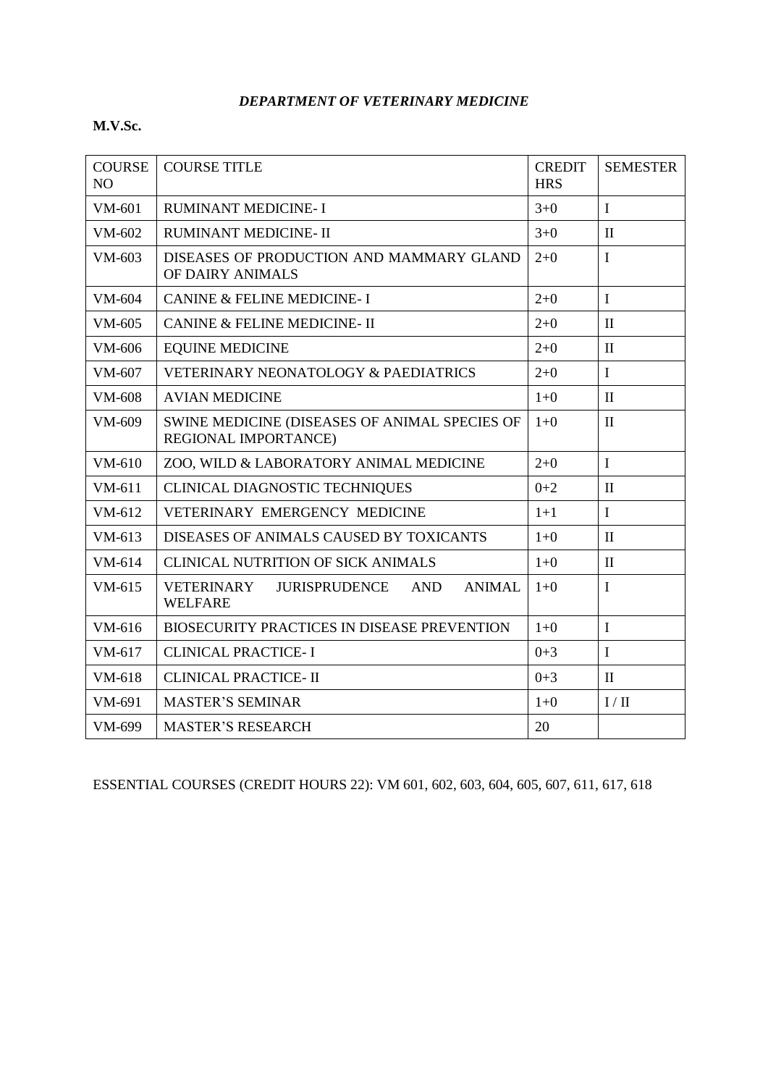#### *DEPARTMENT OF VETERINARY MEDICINE*

## **M.V.Sc.**

| <b>COURSE</b><br>NO | <b>COURSE TITLE</b>                                                          | <b>CREDIT</b><br><b>HRS</b> | <b>SEMESTER</b> |
|---------------------|------------------------------------------------------------------------------|-----------------------------|-----------------|
| VM-601              | <b>RUMINANT MEDICINE-I</b>                                                   | $3+0$                       | $\mathbf I$     |
| VM-602              | RUMINANT MEDICINE- II                                                        | $3+0$                       | $\mathbf{I}$    |
| VM-603              | DISEASES OF PRODUCTION AND MAMMARY GLAND<br>OF DAIRY ANIMALS                 | $2 + 0$                     | $\mathbf I$     |
| VM-604              | <b>CANINE &amp; FELINE MEDICINE-I</b>                                        | $2 + 0$                     | $\mathbf I$     |
| VM-605              | <b>CANINE &amp; FELINE MEDICINE- II</b>                                      | $2 + 0$                     | $\mathbf{I}$    |
| VM-606              | <b>EQUINE MEDICINE</b>                                                       | $2 + 0$                     | $\mathbf{I}$    |
| VM-607              | VETERINARY NEONATOLOGY & PAEDIATRICS                                         | $2 + 0$                     | $\mathbf I$     |
| VM-608              | <b>AVIAN MEDICINE</b>                                                        | $1 + 0$                     | $\mathbf{I}$    |
| VM-609              | SWINE MEDICINE (DISEASES OF ANIMAL SPECIES OF<br>REGIONAL IMPORTANCE)        | $1+0$                       | $\mathbf{I}$    |
| $VM-610$            | ZOO, WILD & LABORATORY ANIMAL MEDICINE                                       | $2+0$                       | $\mathbf I$     |
| VM-611              | <b>CLINICAL DIAGNOSTIC TECHNIQUES</b>                                        | $0+2$                       | $\mathbf{I}$    |
| $VM-612$            | <b>VETERINARY EMERGENCY MEDICINE</b>                                         | $1+1$                       | $\mathbf{I}$    |
| $VM-613$            | DISEASES OF ANIMALS CAUSED BY TOXICANTS                                      | $1+0$                       | $\mathbf{I}$    |
| $VM-614$            | <b>CLINICAL NUTRITION OF SICK ANIMALS</b>                                    | $1 + 0$                     | $\mathbf{I}$    |
| $VM-615$            | VETERINARY<br>JURISPRUDENCE<br><b>AND</b><br><b>ANIMAL</b><br><b>WELFARE</b> | $1+0$                       | $\mathbf I$     |
| VM-616              | BIOSECURITY PRACTICES IN DISEASE PREVENTION                                  | $1 + 0$                     | $\mathbf I$     |
| $VM-617$            | <b>CLINICAL PRACTICE-I</b>                                                   | $0 + 3$                     | $\mathbf I$     |
| VM-618              | <b>CLINICAL PRACTICE- II</b>                                                 | $0 + 3$                     | $\mathbf{I}$    |
| VM-691              | <b>MASTER'S SEMINAR</b>                                                      | $1+0$                       | I / II          |
| VM-699              | <b>MASTER'S RESEARCH</b>                                                     | 20                          |                 |

ESSENTIAL COURSES (CREDIT HOURS 22): VM 601, 602, 603, 604, 605, 607, 611, 617, 618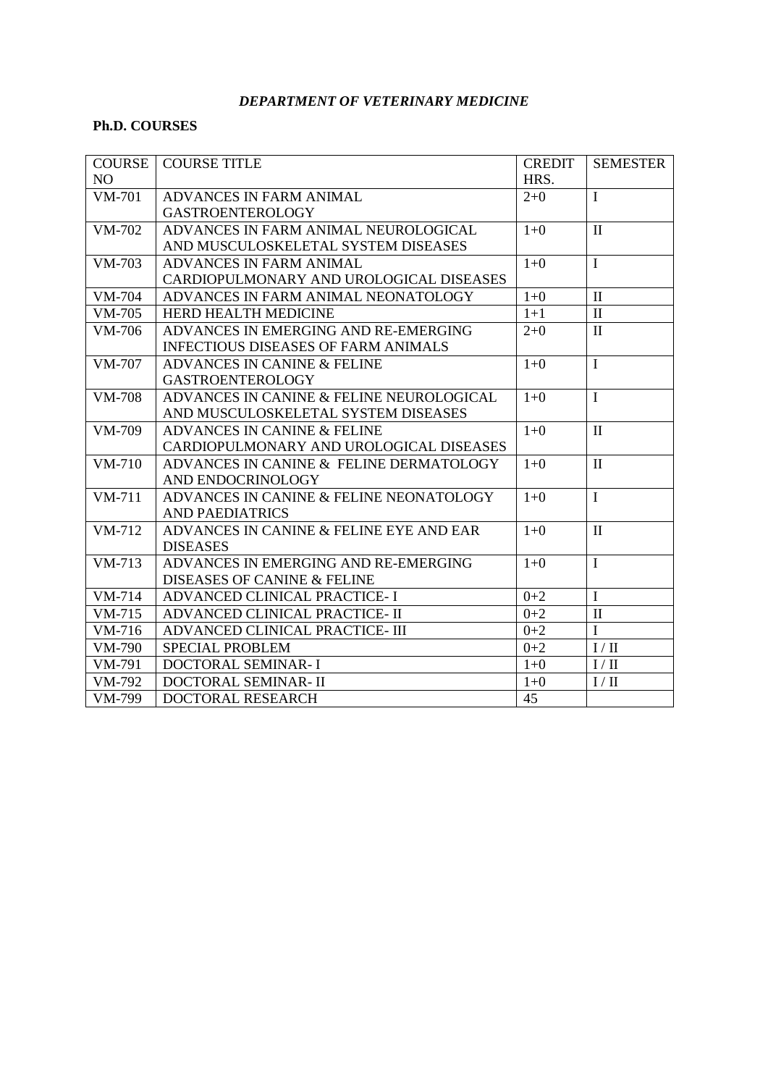### *DEPARTMENT OF VETERINARY MEDICINE*

### **Ph.D. COURSES**

| <b>COURSE</b> | <b>COURSE TITLE</b>                        | <b>CREDIT</b> | <b>SEMESTER</b> |
|---------------|--------------------------------------------|---------------|-----------------|
| NO            |                                            | HRS.          |                 |
| <b>VM-701</b> | ADVANCES IN FARM ANIMAL                    | $2 + 0$       | $\mathbf I$     |
|               | <b>GASTROENTEROLOGY</b>                    |               |                 |
| VM-702        | ADVANCES IN FARM ANIMAL NEUROLOGICAL       | $1+0$         | $\mathbf{I}$    |
|               | AND MUSCULOSKELETAL SYSTEM DISEASES        |               |                 |
| VM-703        | ADVANCES IN FARM ANIMAL                    | $1 + 0$       | $\mathbf I$     |
|               | CARDIOPULMONARY AND UROLOGICAL DISEASES    |               |                 |
| VM-704        | ADVANCES IN FARM ANIMAL NEONATOLOGY        | $1 + 0$       | $\mathbf{I}$    |
| VM-705        | HERD HEALTH MEDICINE                       | $1+1$         | $\mathbf{I}$    |
| VM-706        | ADVANCES IN EMERGING AND RE-EMERGING       | $2+0$         | $\mathbf{I}$    |
|               | <b>INFECTIOUS DISEASES OF FARM ANIMALS</b> |               |                 |
| <b>VM-707</b> | ADVANCES IN CANINE & FELINE                | $1+0$         | $\mathbf I$     |
|               | <b>GASTROENTEROLOGY</b>                    |               |                 |
| <b>VM-708</b> | ADVANCES IN CANINE & FELINE NEUROLOGICAL   | $1+0$         | $\mathbf I$     |
|               | AND MUSCULOSKELETAL SYSTEM DISEASES        |               |                 |
| VM-709        | ADVANCES IN CANINE & FELINE                | $1+0$         | $\mathbf{I}$    |
|               | CARDIOPULMONARY AND UROLOGICAL DISEASES    |               |                 |
| $VM-710$      | ADVANCES IN CANINE & FELINE DERMATOLOGY    | $1+0$         | $\mathbf{I}$    |
|               | AND ENDOCRINOLOGY                          |               |                 |
| $VM-711$      | ADVANCES IN CANINE & FELINE NEONATOLOGY    | $1+0$         | $\mathbf{I}$    |
|               | <b>AND PAEDIATRICS</b>                     |               |                 |
| VM-712        | ADVANCES IN CANINE & FELINE EYE AND EAR    | $1+0$         | $\mathbf{I}$    |
|               | <b>DISEASES</b>                            |               |                 |
| $VM-713$      | ADVANCES IN EMERGING AND RE-EMERGING       | $1+0$         | $\mathbf I$     |
|               | DISEASES OF CANINE & FELINE                |               |                 |
| VM-714        | ADVANCED CLINICAL PRACTICE- I              | $0 + 2$       | $\mathbf I$     |
| VM-715        | ADVANCED CLINICAL PRACTICE- II             | $0 + 2$       | $\mathbf{I}$    |
| VM-716        | ADVANCED CLINICAL PRACTICE- III            | $0 + 2$       | $\mathbf I$     |
| VM-790        | <b>SPECIAL PROBLEM</b>                     | $0 + 2$       | I/II            |
| VM-791        | DOCTORAL SEMINAR-I                         | $1 + 0$       | I/II            |
| VM-792        | DOCTORAL SEMINAR- II                       | $1+0$         | I/II            |
| VM-799        | DOCTORAL RESEARCH                          | 45            |                 |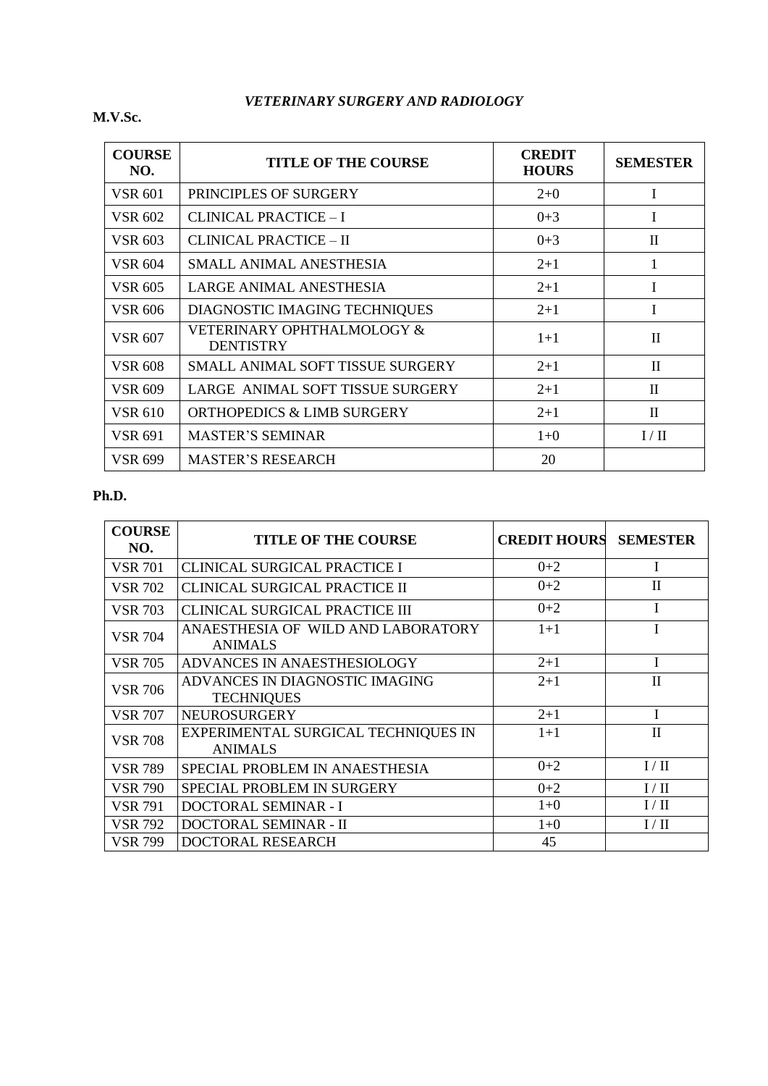## *VETERINARY SURGERY AND RADIOLOGY*

**M.V.Sc.** 

| <b>COURSE</b><br>NO. | <b>TITLE OF THE COURSE</b>                     | <b>CREDIT</b><br><b>HOURS</b> | <b>SEMESTER</b> |
|----------------------|------------------------------------------------|-------------------------------|-----------------|
| <b>VSR 601</b>       | PRINCIPLES OF SURGERY                          | $2+0$                         | T               |
| <b>VSR 602</b>       | <b>CLINICAL PRACTICE - I</b>                   | $0 + 3$                       |                 |
| <b>VSR 603</b>       | CLINICAL PRACTICE – II                         | $0+3$                         | $\mathbf H$     |
| <b>VSR 604</b>       | SMALL ANIMAL ANESTHESIA                        | $2 + 1$                       | 1               |
| <b>VSR 605</b>       | LARGE ANIMAL ANESTHESIA                        | $2 + 1$                       |                 |
| <b>VSR 606</b>       | DIAGNOSTIC IMAGING TECHNIQUES                  | $2 + 1$                       | Ī               |
| <b>VSR 607</b>       | VETERINARY OPHTHALMOLOGY &<br><b>DENTISTRY</b> | $1 + 1$                       | $\mathbf{I}$    |
| <b>VSR 608</b>       | SMALL ANIMAL SOFT TISSUE SURGERY               | $2 + 1$                       | $\mathbf{I}$    |
| <b>VSR 609</b>       | LARGE ANIMAL SOFT TISSUE SURGERY               | $2 + 1$                       | $\mathbf{I}$    |
| <b>VSR 610</b>       | <b>ORTHOPEDICS &amp; LIMB SURGERY</b>          | $2 + 1$                       | $\mathbf{I}$    |
| <b>VSR 691</b>       | <b>MASTER'S SEMINAR</b>                        | $1+0$                         | I/H             |
| <b>VSR 699</b>       | <b>MASTER'S RESEARCH</b>                       | 20                            |                 |

| <b>COURSE</b><br>NO. | <b>TITLE OF THE COURSE</b>                            | <b>CREDIT HOURS</b> | <b>SEMESTER</b> |
|----------------------|-------------------------------------------------------|---------------------|-----------------|
| <b>VSR 701</b>       | CLINICAL SURGICAL PRACTICE I                          | $0+2$               | I               |
| <b>VSR 702</b>       | CLINICAL SURGICAL PRACTICE II                         | $0+2$               | $\rm II$        |
| <b>VSR 703</b>       | CLINICAL SURGICAL PRACTICE III                        | $0+2$               |                 |
| <b>VSR 704</b>       | ANAESTHESIA OF WILD AND LABORATORY<br><b>ANIMALS</b>  | $1 + 1$             |                 |
| <b>VSR 705</b>       | ADVANCES IN ANAESTHESIOLOGY                           | $2 + 1$             |                 |
| <b>VSR 706</b>       | ADVANCES IN DIAGNOSTIC IMAGING<br><b>TECHNIQUES</b>   | $2 + 1$             | П               |
| <b>VSR 707</b>       | <b>NEUROSURGERY</b>                                   | $2 + 1$             |                 |
| <b>VSR 708</b>       | EXPERIMENTAL SURGICAL TECHNIQUES IN<br><b>ANIMALS</b> | $1 + 1$             | $\rm II$        |
| <b>VSR 789</b>       | SPECIAL PROBLEM IN ANAESTHESIA                        | $0+2$               | I/II            |
| <b>VSR 790</b>       | <b>SPECIAL PROBLEM IN SURGERY</b>                     | $0+2$               | I/II            |
| <b>VSR 791</b>       | DOCTORAL SEMINAR - I                                  | $1+0$               | I/II            |
| <b>VSR 792</b>       | DOCTORAL SEMINAR - II                                 | $1+0$               | I / II          |
| <b>VSR 799</b>       | DOCTORAL RESEARCH                                     | 45                  |                 |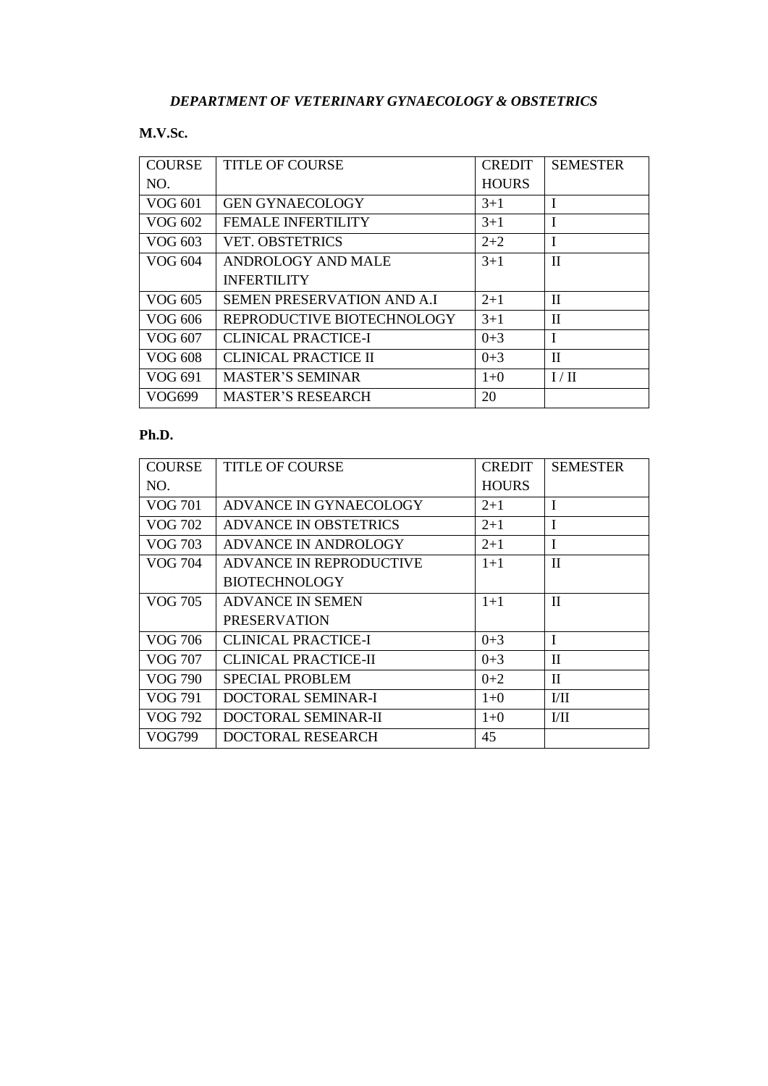## **M.V.Sc.**

| <b>COURSE</b>  | <b>TITLE OF COURSE</b>     | <b>CREDIT</b> | <b>SEMESTER</b> |
|----------------|----------------------------|---------------|-----------------|
| NO.            |                            | <b>HOURS</b>  |                 |
| VOG 601        | <b>GEN GYNAECOLOGY</b>     | $3+1$         |                 |
| VOG 602        | <b>FEMALE INFERTILITY</b>  | $3+1$         |                 |
| VOG 603        | <b>VET. OBSTETRICS</b>     | $2+2$         | I               |
| VOG 604        | ANDROLOGY AND MALE         | $3+1$         | $\mathbf{I}$    |
|                | <b>INFERTILITY</b>         |               |                 |
| VOG 605        | SEMEN PRESERVATION AND A.I | $2 + 1$       | H               |
| VOG 606        | REPRODUCTIVE BIOTECHNOLOGY | $3+1$         | $\mathbf{I}$    |
| VOG 607        | <b>CLINICAL PRACTICE-I</b> | $0 + 3$       | $\mathbf{I}$    |
| <b>VOG 608</b> | CLINICAL PRACTICE II       | $0 + 3$       | $\mathbf{I}$    |
| VOG 691        | <b>MASTER'S SEMINAR</b>    | $1+0$         | I/H             |
| VOG699         | <b>MASTER'S RESEARCH</b>   | 20            |                 |

| <b>COURSE</b>  | <b>TITLE OF COURSE</b>      | <b>CREDIT</b> | <b>SEMESTER</b> |
|----------------|-----------------------------|---------------|-----------------|
| NO.            |                             | <b>HOURS</b>  |                 |
| <b>VOG 701</b> | ADVANCE IN GYNAECOLOGY      | $2+1$         | $\mathbf I$     |
| VOG 702        | ADVANCE IN OBSTETRICS       | $2 + 1$       | $\mathbf I$     |
| <b>VOG 703</b> | ADVANCE IN ANDROLOGY        | $2 + 1$       | $\mathbf I$     |
| VOG 704        | ADVANCE IN REPRODUCTIVE     | $1 + 1$       | $\mathbf{H}$    |
|                | <b>BIOTECHNOLOGY</b>        |               |                 |
| <b>VOG 705</b> | <b>ADVANCE IN SEMEN</b>     | $1+1$         | $\mathbf{I}$    |
|                | <b>PRESERVATION</b>         |               |                 |
| <b>VOG 706</b> | <b>CLINICAL PRACTICE-I</b>  | $0 + 3$       | $\mathbf{I}$    |
| VOG 707        | <b>CLINICAL PRACTICE-II</b> | $0 + 3$       | $\mathbf{I}$    |
| VOG 790        | <b>SPECIAL PROBLEM</b>      | $0+2$         | $\mathbf{I}$    |
| VOG 791        | DOCTORAL SEMINAR-I          | $1+0$         | VII             |
| VOG 792        | DOCTORAL SEMINAR-II         | $1+0$         | $V$ II          |
| VOG799         | DOCTORAL RESEARCH           | 45            |                 |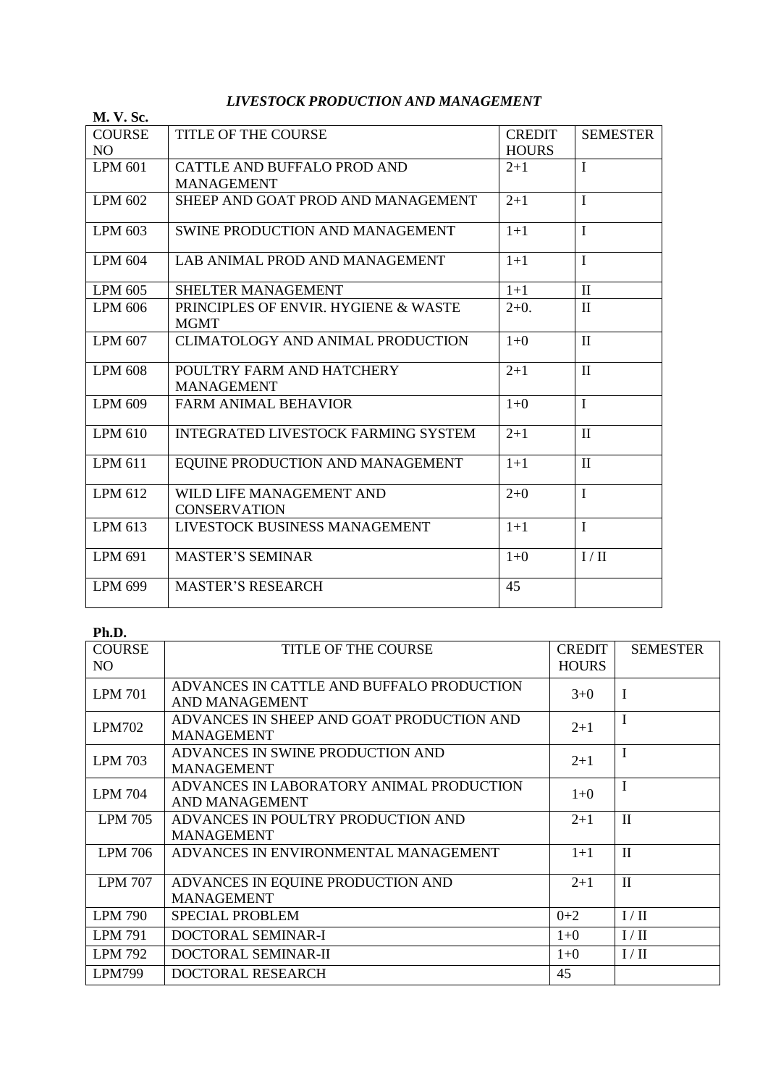# *LIVESTOCK PRODUCTION AND MANAGEMENT*

| <b>M. V. Sc.</b>                |                                                     |                               |                 |
|---------------------------------|-----------------------------------------------------|-------------------------------|-----------------|
| <b>COURSE</b><br>N <sub>O</sub> | <b>TITLE OF THE COURSE</b>                          | <b>CREDIT</b><br><b>HOURS</b> | <b>SEMESTER</b> |
| <b>LPM 601</b>                  | CATTLE AND BUFFALO PROD AND<br><b>MANAGEMENT</b>    | $2 + 1$                       | $\mathbf I$     |
| <b>LPM 602</b>                  | SHEEP AND GOAT PROD AND MANAGEMENT                  | $2+1$                         | $\mathbf I$     |
| LPM 603                         | SWINE PRODUCTION AND MANAGEMENT                     | $1 + 1$                       | $\mathbf I$     |
| LPM 604                         | LAB ANIMAL PROD AND MANAGEMENT                      | $1 + 1$                       | $\mathbf I$     |
| LPM 605                         | SHELTER MANAGEMENT                                  | $1+1$                         | $\mathbf{I}$    |
| LPM 606                         | PRINCIPLES OF ENVIR. HYGIENE & WASTE<br><b>MGMT</b> | $2+0.$                        | $\mathbf{I}$    |
| LPM 607                         | <b>CLIMATOLOGY AND ANIMAL PRODUCTION</b>            | $1+0$                         | $\mathbf{I}$    |
| <b>LPM 608</b>                  | POULTRY FARM AND HATCHERY<br><b>MANAGEMENT</b>      | $2 + 1$                       | $\mathbf{I}$    |
| <b>LPM 609</b>                  | <b>FARM ANIMAL BEHAVIOR</b>                         | $1+0$                         | $\mathbf I$     |
| LPM 610                         | <b>INTEGRATED LIVESTOCK FARMING SYSTEM</b>          | $2 + 1$                       | $\mathbf{I}$    |
| LPM 611                         | EQUINE PRODUCTION AND MANAGEMENT                    | $1+1$                         | $\mathbf{I}$    |
| LPM 612                         | WILD LIFE MANAGEMENT AND<br><b>CONSERVATION</b>     | $2+0$                         | $\mathbf I$     |
| LPM 613                         | LIVESTOCK BUSINESS MANAGEMENT                       | $1+1$                         | $\mathbf{I}$    |
| LPM 691                         | <b>MASTER'S SEMINAR</b>                             | $1+0$                         | I/II            |
| <b>LPM 699</b>                  | <b>MASTER'S RESEARCH</b>                            | 45                            |                 |

| <b>COURSE</b><br>N <sub>O</sub> | TITLE OF THE COURSE                                            | <b>CREDIT</b><br><b>HOURS</b> | <b>SEMESTER</b> |
|---------------------------------|----------------------------------------------------------------|-------------------------------|-----------------|
| <b>LPM 701</b>                  | ADVANCES IN CATTLE AND BUFFALO PRODUCTION<br>AND MANAGEMENT    | $3+0$                         | I               |
| <b>LPM702</b>                   | ADVANCES IN SHEEP AND GOAT PRODUCTION AND<br><b>MANAGEMENT</b> | $2 + 1$                       | I               |
| <b>LPM 703</b>                  | ADVANCES IN SWINE PRODUCTION AND<br><b>MANAGEMENT</b>          | $2 + 1$                       | I               |
| <b>LPM 704</b>                  | ADVANCES IN LABORATORY ANIMAL PRODUCTION<br>AND MANAGEMENT     | $1+0$                         | I               |
| <b>LPM 705</b>                  | ADVANCES IN POULTRY PRODUCTION AND<br><b>MANAGEMENT</b>        | $2 + 1$                       | $\mathbf{I}$    |
| <b>LPM 706</b>                  | ADVANCES IN ENVIRONMENTAL MANAGEMENT                           | $1 + 1$                       | $\mathbf{I}$    |
| <b>LPM 707</b>                  | ADVANCES IN EQUINE PRODUCTION AND<br><b>MANAGEMENT</b>         | $2 + 1$                       | $\mathbf{I}$    |
| <b>LPM 790</b>                  | <b>SPECIAL PROBLEM</b>                                         | $0+2$                         | I / II          |
| LPM 791                         | DOCTORAL SEMINAR-I                                             | $1+0$                         | I/II            |
| LPM 792                         | DOCTORAL SEMINAR-II                                            | $1+0$                         | I / II          |
| <b>LPM799</b>                   | DOCTORAL RESEARCH                                              | 45                            |                 |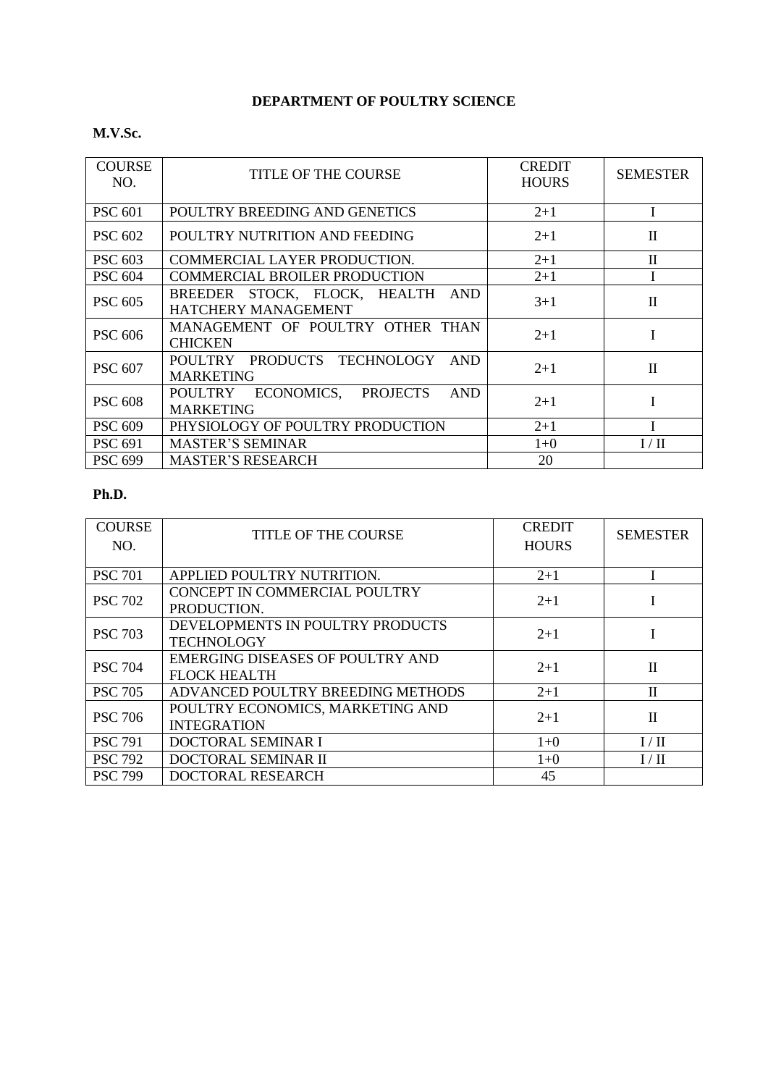# **DEPARTMENT OF POULTRY SCIENCE**

#### **M.V.Sc.**

| <b>COURSE</b><br>NO. | <b>TITLE OF THE COURSE</b>                                              | <b>CREDIT</b><br><b>HOURS</b> | <b>SEMESTER</b> |
|----------------------|-------------------------------------------------------------------------|-------------------------------|-----------------|
| <b>PSC 601</b>       | POULTRY BREEDING AND GENETICS                                           | $2 + 1$                       |                 |
| <b>PSC 602</b>       | POULTRY NUTRITION AND FEEDING                                           | $2 + 1$                       | $\mathbf{I}$    |
| <b>PSC 603</b>       | COMMERCIAL LAYER PRODUCTION.                                            | $2 + 1$                       | $\mathbf{I}$    |
| <b>PSC 604</b>       | <b>COMMERCIAL BROILER PRODUCTION</b>                                    | $2+1$                         |                 |
| <b>PSC 605</b>       | BREEDER STOCK, FLOCK, HEALTH<br>AND<br>HATCHERY MANAGEMENT              | $3+1$                         | $\mathbf{I}$    |
| <b>PSC 606</b>       | MANAGEMENT OF POULTRY OTHER THAN<br><b>CHICKEN</b>                      | $2 + 1$                       |                 |
| <b>PSC 607</b>       | POULTRY PRODUCTS TECHNOLOGY<br><b>AND</b><br><b>MARKETING</b>           | $2 + 1$                       | $\mathbf{I}$    |
| <b>PSC 608</b>       | ECONOMICS, PROJECTS<br><b>AND</b><br><b>POULTRY</b><br><b>MARKETING</b> | $2 + 1$                       |                 |
| <b>PSC 609</b>       | PHYSIOLOGY OF POULTRY PRODUCTION                                        | $2 + 1$                       |                 |
| <b>PSC 691</b>       | <b>MASTER'S SEMINAR</b>                                                 | $1+0$                         | I/H             |
| <b>PSC 699</b>       | <b>MASTER'S RESEARCH</b>                                                | 20                            |                 |

| <b>COURSE</b><br>NO. | <b>TITLE OF THE COURSE</b>                                     | <b>CREDIT</b><br><b>HOURS</b> | <b>SEMESTER</b> |
|----------------------|----------------------------------------------------------------|-------------------------------|-----------------|
| <b>PSC 701</b>       | APPLIED POULTRY NUTRITION.                                     | $2 + 1$                       |                 |
| <b>PSC 702</b>       | CONCEPT IN COMMERCIAL POULTRY<br>PRODUCTION.                   | $2+1$                         |                 |
| <b>PSC 703</b>       | DEVELOPMENTS IN POULTRY PRODUCTS<br><b>TECHNOLOGY</b>          | $2+1$                         |                 |
| <b>PSC 704</b>       | <b>EMERGING DISEASES OF POULTRY AND</b><br><b>FLOCK HEALTH</b> | $2 + 1$                       | $\mathbf{I}$    |
| <b>PSC 705</b>       | ADVANCED POULTRY BREEDING METHODS                              | $2 + 1$                       | $\mathbf{I}$    |
| <b>PSC 706</b>       | POULTRY ECONOMICS, MARKETING AND<br><b>INTEGRATION</b>         | $2+1$                         | $\mathbf{I}$    |
| <b>PSC 791</b>       | DOCTORAL SEMINAR I                                             | $1+0$                         | I/II            |
| <b>PSC 792</b>       | DOCTORAL SEMINAR II                                            | $1+0$                         | I/H             |
| <b>PSC 799</b>       | DOCTORAL RESEARCH                                              | 45                            |                 |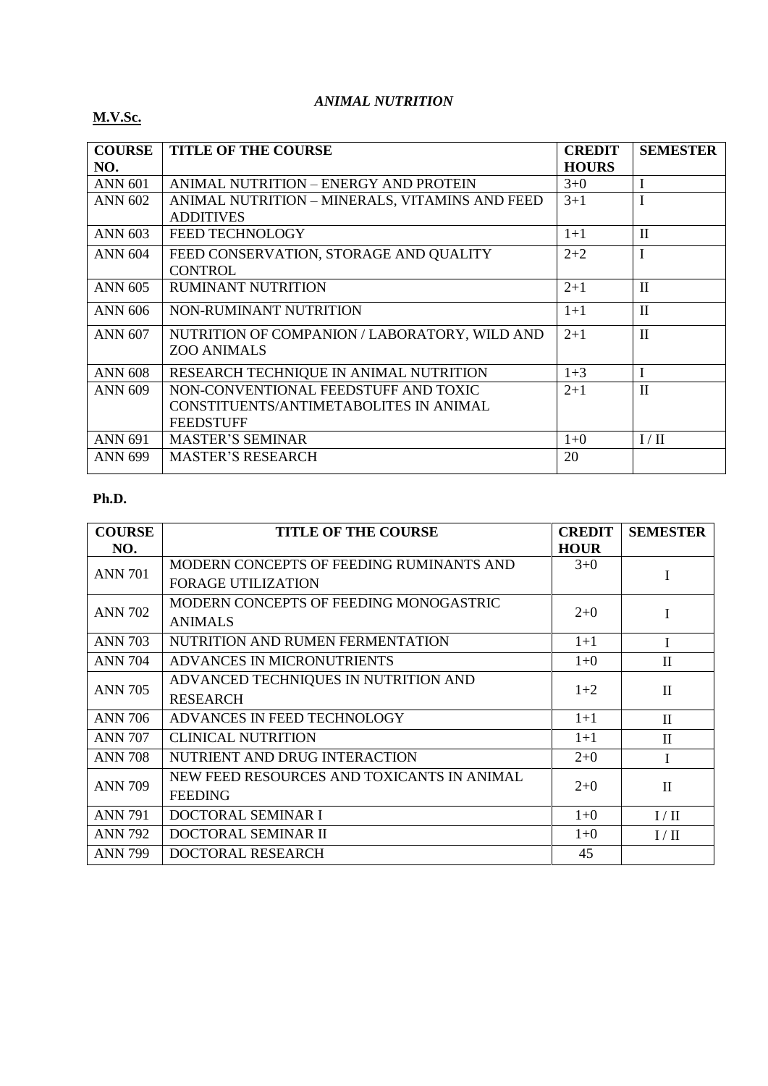#### *ANIMAL NUTRITION*

## **M.V.Sc.**

| <b>COURSE</b>  | <b>TITLE OF THE COURSE</b>                     | <b>CREDIT</b> | <b>SEMESTER</b> |
|----------------|------------------------------------------------|---------------|-----------------|
| NO.            |                                                | <b>HOURS</b>  |                 |
| <b>ANN 601</b> | ANIMAL NUTRITION – ENERGY AND PROTEIN          | $3+0$         | $\mathbf I$     |
| <b>ANN 602</b> | ANIMAL NUTRITION - MINERALS, VITAMINS AND FEED | $3+1$         |                 |
|                | <b>ADDITIVES</b>                               |               |                 |
| <b>ANN 603</b> | <b>FEED TECHNOLOGY</b>                         | $1 + 1$       | $\mathbf{I}$    |
| <b>ANN 604</b> | FEED CONSERVATION, STORAGE AND QUALITY         | $2 + 2$       | I               |
|                | <b>CONTROL</b>                                 |               |                 |
| <b>ANN 605</b> | <b>RUMINANT NUTRITION</b>                      | $2 + 1$       | $\mathbf{I}$    |
| <b>ANN 606</b> | NON-RUMINANT NUTRITION                         | $1+1$         | $\mathbf{I}$    |
| <b>ANN 607</b> | NUTRITION OF COMPANION / LABORATORY, WILD AND  | $2+1$         | $\mathbf{I}$    |
|                | <b>ZOO ANIMALS</b>                             |               |                 |
| <b>ANN 608</b> | RESEARCH TECHNIQUE IN ANIMAL NUTRITION         | $1 + 3$       | $\mathbf I$     |
| <b>ANN 609</b> | NON-CONVENTIONAL FEEDSTUFF AND TOXIC           | $2 + 1$       | $\mathbf{I}$    |
|                | CONSTITUENTS/ANTIMETABOLITES IN ANIMAL         |               |                 |
|                | <b>FEEDSTUFF</b>                               |               |                 |
| <b>ANN 691</b> | <b>MASTER'S SEMINAR</b>                        | $1+0$         | I/H             |
| <b>ANN 699</b> | <b>MASTER'S RESEARCH</b>                       | 20            |                 |
|                |                                                |               |                 |

| <b>COURSE</b>  | <b>TITLE OF THE COURSE</b>                 | <b>CREDIT</b> | <b>SEMESTER</b> |
|----------------|--------------------------------------------|---------------|-----------------|
| NO.            |                                            | <b>HOUR</b>   |                 |
| <b>ANN 701</b> | MODERN CONCEPTS OF FEEDING RUMINANTS AND   | $3+0$         | I               |
|                | <b>FORAGE UTILIZATION</b>                  |               |                 |
| <b>ANN 702</b> | MODERN CONCEPTS OF FEEDING MONOGASTRIC     | $2+0$         | I               |
|                | <b>ANIMALS</b>                             |               |                 |
| <b>ANN 703</b> | NUTRITION AND RUMEN FERMENTATION           | $1 + 1$       | T               |
| <b>ANN 704</b> | ADVANCES IN MICRONUTRIENTS                 | $1 + 0$       | $\mathbf{I}$    |
| <b>ANN 705</b> | ADVANCED TECHNIQUES IN NUTRITION AND       |               |                 |
|                | <b>RESEARCH</b>                            | $1+2$         | $\mathbf{I}$    |
| <b>ANN 706</b> | ADVANCES IN FEED TECHNOLOGY                | $1 + 1$       | $\Pi$           |
| <b>ANN 707</b> | <b>CLINICAL NUTRITION</b>                  | $1 + 1$       | $\mathbf{I}$    |
| <b>ANN 708</b> | NUTRIENT AND DRUG INTERACTION              | $2+0$         |                 |
|                | NEW FEED RESOURCES AND TOXICANTS IN ANIMAL | $2+0$         |                 |
| <b>ANN 709</b> | <b>FEEDING</b>                             |               | $\mathbf{I}$    |
| <b>ANN 791</b> | DOCTORAL SEMINAR I                         | $1 + 0$       | I/II            |
| <b>ANN 792</b> | DOCTORAL SEMINAR II                        | $1 + 0$       | I/II            |
| <b>ANN 799</b> | DOCTORAL RESEARCH                          | 45            |                 |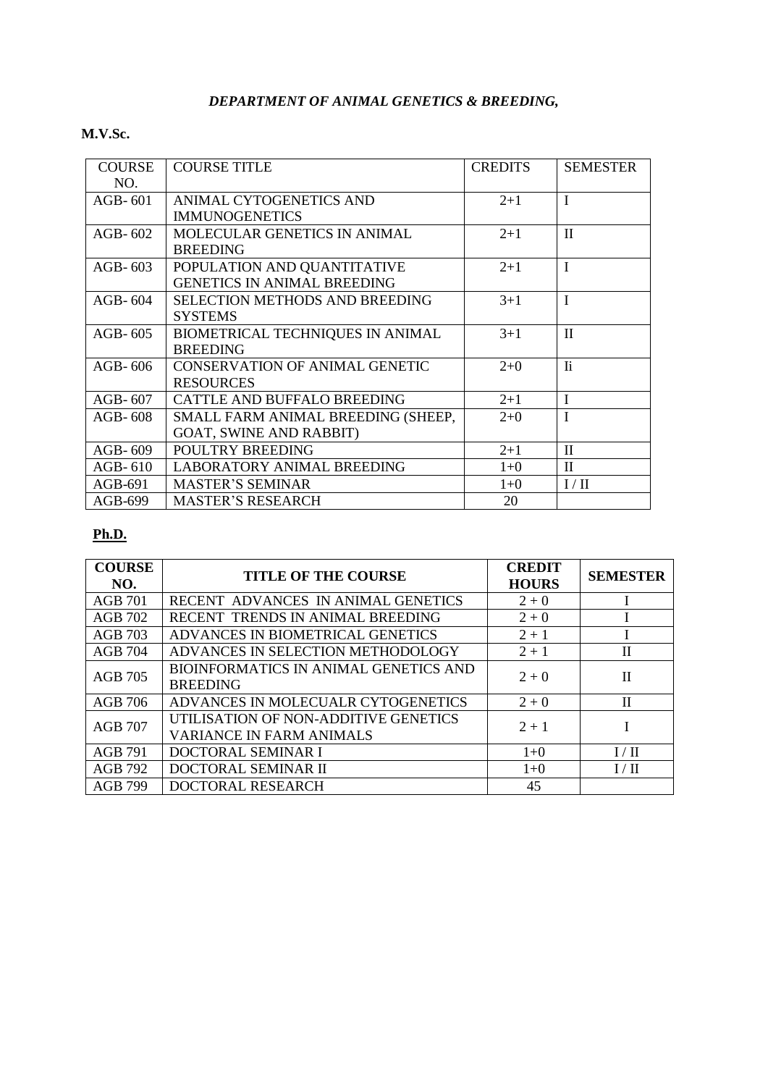## *DEPARTMENT OF ANIMAL GENETICS & BREEDING,*

## **M.V.Sc.**

| <b>COURSE</b> | <b>COURSE TITLE</b>                   | <b>CREDITS</b> | <b>SEMESTER</b> |
|---------------|---------------------------------------|----------------|-----------------|
| NO.           |                                       |                |                 |
| $AGB-601$     | ANIMAL CYTOGENETICS AND               | $2 + 1$        | $\mathbf I$     |
|               | <b>IMMUNOGENETICS</b>                 |                |                 |
| AGB- $602$    | MOLECULAR GENETICS IN ANIMAL          | $2 + 1$        | $\mathbf I$     |
|               | <b>BREEDING</b>                       |                |                 |
| AGB- $603$    | POPULATION AND QUANTITATIVE           | $2 + 1$        | $\mathbf I$     |
|               | <b>GENETICS IN ANIMAL BREEDING</b>    |                |                 |
| $AGB-604$     | <b>SELECTION METHODS AND BREEDING</b> | $3 + 1$        | $\mathbf I$     |
|               | <b>SYSTEMS</b>                        |                |                 |
| AGB-605       | BIOMETRICAL TECHNIQUES IN ANIMAL      | $3 + 1$        | $\mathbf{I}$    |
|               | <b>BREEDING</b>                       |                |                 |
| $AGB-606$     | <b>CONSERVATION OF ANIMAL GENETIC</b> | $2+0$          | <b>Ii</b>       |
|               | <b>RESOURCES</b>                      |                |                 |
| AGB-607       | CATTLE AND BUFFALO BREEDING           | $2 + 1$        | $\mathbf{I}$    |
| AGB-608       | SMALL FARM ANIMAL BREEDING (SHEEP,    | $2 + 0$        | $\mathbf I$     |
|               | <b>GOAT, SWINE AND RABBIT)</b>        |                |                 |
| $AGB-609$     | POULTRY BREEDING                      | $2 + 1$        | $\mathbf{I}$    |
| AGB-610       | <b>LABORATORY ANIMAL BREEDING</b>     | $1+0$          | $\mathbf{I}$    |
| $AGB-691$     | <b>MASTER'S SEMINAR</b>               | $1+0$          | I/H             |
| AGB-699       | <b>MASTER'S RESEARCH</b>              | 20             |                 |

| <b>COURSE</b><br>NO. | <b>TITLE OF THE COURSE</b>                                              | <b>CREDIT</b><br><b>HOURS</b> | <b>SEMESTER</b> |
|----------------------|-------------------------------------------------------------------------|-------------------------------|-----------------|
| AGB 701              | RECENT ADVANCES IN ANIMAL GENETICS                                      | $2 + 0$                       |                 |
| <b>AGB 702</b>       | RECENT TRENDS IN ANIMAL BREEDING                                        | $2 + 0$                       |                 |
| <b>AGB 703</b>       | ADVANCES IN BIOMETRICAL GENETICS                                        | $2 + 1$                       |                 |
| <b>AGB 704</b>       | ADVANCES IN SELECTION METHODOLOGY                                       | $2 + 1$                       | $\rm II$        |
| <b>AGB 705</b>       | BIOINFORMATICS IN ANIMAL GENETICS AND<br><b>BREEDING</b>                | $2 + 0$                       | $\mathbf{I}$    |
| AGB 706              | ADVANCES IN MOLECUALR CYTOGENETICS                                      | $2 + 0$                       | $\rm II$        |
| <b>AGB 707</b>       | UTILISATION OF NON-ADDITIVE GENETICS<br><b>VARIANCE IN FARM ANIMALS</b> | $2 + 1$                       |                 |
| AGB 791              | DOCTORAL SEMINAR I                                                      | $1+0$                         | I/H             |
| AGB 792              | DOCTORAL SEMINAR II                                                     | $1+0$                         | I/II            |
| AGB 799              | <b>DOCTORAL RESEARCH</b>                                                | 45                            |                 |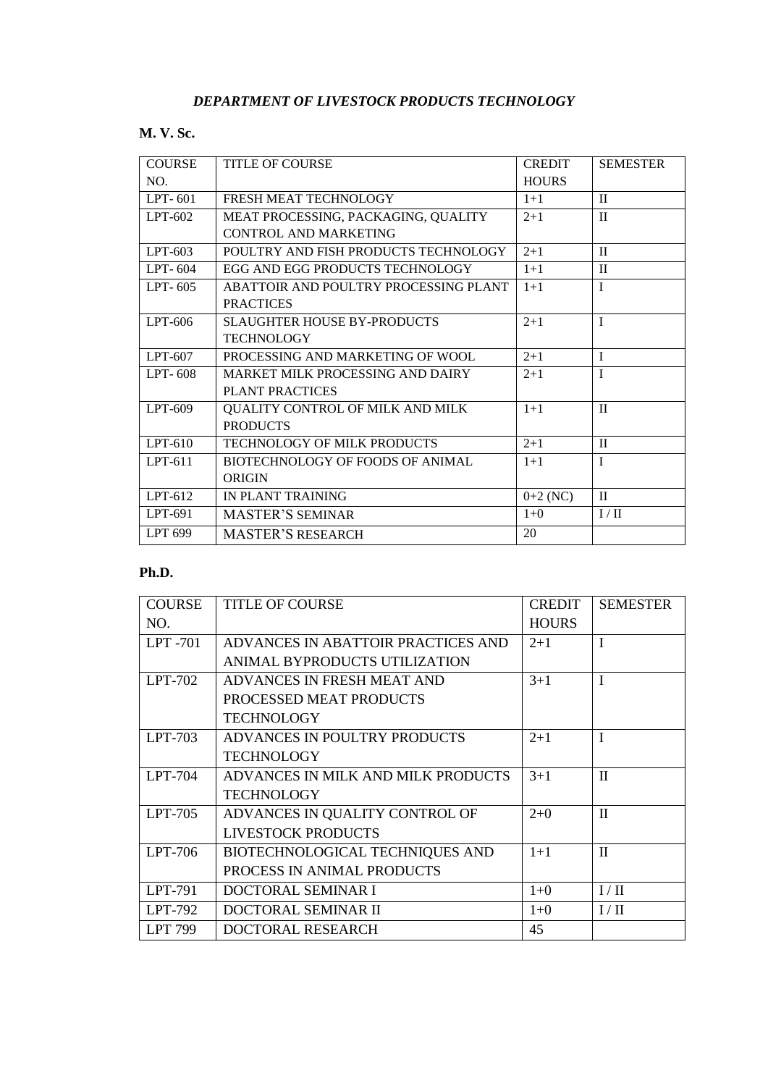## **M. V. Sc.**

| <b>COURSE</b> | <b>TITLE OF COURSE</b>                  | <b>CREDIT</b> | <b>SEMESTER</b> |
|---------------|-----------------------------------------|---------------|-----------------|
| NO.           |                                         | <b>HOURS</b>  |                 |
| LPT-601       | FRESH MEAT TECHNOLOGY                   | $1+1$         | $\mathbf{I}$    |
| $LPT-602$     | MEAT PROCESSING, PACKAGING, QUALITY     | $2+1$         | $\mathbf{I}$    |
|               | CONTROL AND MARKETING                   |               |                 |
| $LPT-603$     | POULTRY AND FISH PRODUCTS TECHNOLOGY    | $2+1$         | $\mathbf{I}$    |
| LPT-604       | EGG AND EGG PRODUCTS TECHNOLOGY         | $1+1$         | $\mathbf{I}$    |
| LPT-605       | ABATTOIR AND POULTRY PROCESSING PLANT   | $1+1$         | $\mathbf{I}$    |
|               | <b>PRACTICES</b>                        |               |                 |
| LPT-606       | SLAUGHTER HOUSE BY-PRODUCTS             | $2+1$         | T               |
|               | <b>TECHNOLOGY</b>                       |               |                 |
| LPT-607       | PROCESSING AND MARKETING OF WOOL.       | $2+1$         | $\mathbf{I}$    |
| LPT-608       | MARKET MILK PROCESSING AND DAIRY        | $2+1$         | T               |
|               | <b>PLANT PRACTICES</b>                  |               |                 |
| LPT-609       | QUALITY CONTROL OF MILK AND MILK        | $1+1$         | $\mathbf{I}$    |
|               | <b>PRODUCTS</b>                         |               |                 |
| $LPT-610$     | TECHNOLOGY OF MILK PRODUCTS             | $2+1$         | $\mathbf{I}$    |
| $LPT-611$     | <b>BIOTECHNOLOGY OF FOODS OF ANIMAL</b> | $1 + 1$       | T               |
|               | ORIGIN                                  |               |                 |
| $LPT-612$     | IN PLANT TRAINING                       | $0+2$ (NC)    | $\mathbf{I}$    |
| LPT-691       | <b>MASTER'S SEMINAR</b>                 | $1+0$         | $I / II$        |
| LPT 699       | <b>MASTER'S RESEARCH</b>                | 20            |                 |

| <b>COURSE</b>  | <b>TITLE OF COURSE</b>             | <b>CREDIT</b> | <b>SEMESTER</b> |
|----------------|------------------------------------|---------------|-----------------|
| NO.            |                                    | <b>HOURS</b>  |                 |
| LPT-701        | ADVANCES IN ABATTOIR PRACTICES AND | $2 + 1$       | I               |
|                | ANIMAL BYPRODUCTS UTILIZATION      |               |                 |
| LPT-702        | ADVANCES IN FRESH MEAT AND         | $3 + 1$       | $\mathbf I$     |
|                | PROCESSED MEAT PRODUCTS            |               |                 |
|                | <b>TECHNOLOGY</b>                  |               |                 |
| $LPT-703$      | ADVANCES IN POULTRY PRODUCTS       | $2+1$         | T               |
|                | <b>TECHNOLOGY</b>                  |               |                 |
| $LPT-704$      | ADVANCES IN MILK AND MILK PRODUCTS | $3 + 1$       | $\mathbf{I}$    |
|                | <b>TECHNOLOGY</b>                  |               |                 |
| LPT-705        | ADVANCES IN QUALITY CONTROL OF     | $2+0$         | $\mathbf{I}$    |
|                | LIVESTOCK PRODUCTS                 |               |                 |
| LPT-706        | BIOTECHNOLOGICAL TECHNIQUES AND    | $1+1$         | $\mathbf{I}$    |
|                | PROCESS IN ANIMAL PRODUCTS         |               |                 |
| LPT-791        | DOCTORAL SEMINAR I                 | $1+0$         | I/II            |
| LPT-792        | DOCTORAL SEMINAR II                | $1+0$         | I/II            |
| <b>LPT 799</b> | DOCTORAL RESEARCH                  | 45            |                 |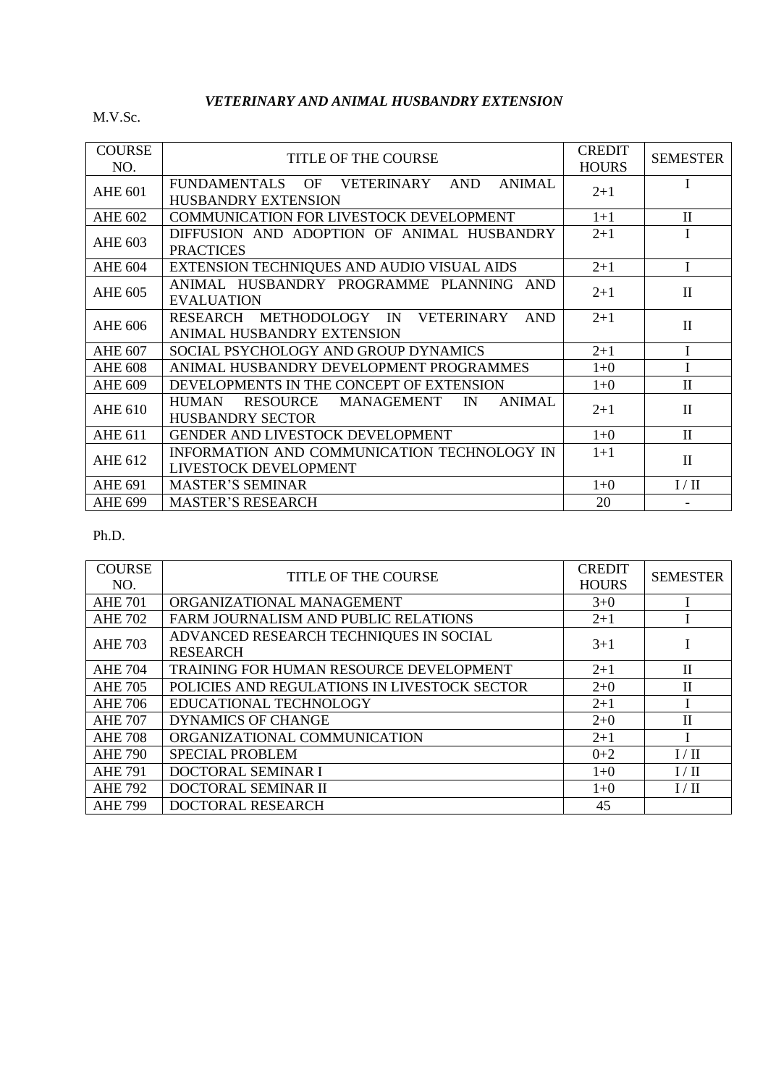## *VETERINARY AND ANIMAL HUSBANDRY EXTENSION*

M.V.Sc.

| <b>COURSE</b><br>NO. | TITLE OF THE COURSE                                                                | <b>CREDIT</b><br><b>HOURS</b> | <b>SEMESTER</b> |
|----------------------|------------------------------------------------------------------------------------|-------------------------------|-----------------|
| <b>AHE 601</b>       | FUNDAMENTALS OF VETERINARY AND<br><b>ANIMAL</b><br><b>HUSBANDRY EXTENSION</b>      | $2+1$                         | $\mathbf{I}$    |
| <b>AHE 602</b>       | COMMUNICATION FOR LIVESTOCK DEVELOPMENT                                            | $1 + 1$                       | $\mathbf{I}$    |
| <b>AHE 603</b>       | DIFFUSION AND ADOPTION OF ANIMAL HUSBANDRY<br><b>PRACTICES</b>                     | $2 + 1$                       | I               |
| <b>AHE 604</b>       | EXTENSION TECHNIQUES AND AUDIO VISUAL AIDS                                         | $2+1$                         | I               |
| <b>AHE 605</b>       | ANIMAL HUSBANDRY PROGRAMME PLANNING AND<br><b>EVALUATION</b>                       | $2 + 1$                       | $\mathbf{I}$    |
| <b>AHE 606</b>       | RESEARCH METHODOLOGY IN<br>VETERINARY<br><b>AND</b><br>ANIMAL HUSBANDRY EXTENSION  | $2 + 1$                       | $\mathbf{I}$    |
| <b>AHE 607</b>       | SOCIAL PSYCHOLOGY AND GROUP DYNAMICS                                               | $2 + 1$                       | I               |
| <b>AHE 608</b>       | ANIMAL HUSBANDRY DEVELOPMENT PROGRAMMES                                            | $1 + 0$                       |                 |
| <b>AHE 609</b>       | DEVELOPMENTS IN THE CONCEPT OF EXTENSION                                           | $1 + 0$                       | $\mathbf{I}$    |
| <b>AHE 610</b>       | RESOURCE MANAGEMENT IN<br><b>ANIMAL</b><br><b>HUMAN</b><br><b>HUSBANDRY SECTOR</b> | $2 + 1$                       | $\mathbf{I}$    |
| <b>AHE 611</b>       | GENDER AND LIVESTOCK DEVELOPMENT                                                   | $1+0$                         | $\mathbf{I}$    |
| <b>AHE 612</b>       | INFORMATION AND COMMUNICATION TECHNOLOGY IN<br>LIVESTOCK DEVELOPMENT               | $1+1$                         | $\mathbf{I}$    |
| <b>AHE 691</b>       | <b>MASTER'S SEMINAR</b>                                                            | $1+0$                         | I/II            |
| <b>AHE 699</b>       | <b>MASTER'S RESEARCH</b>                                                           | 20                            |                 |

| <b>COURSE</b><br>NO. | <b>TITLE OF THE COURSE</b>                                | <b>CREDIT</b><br><b>HOURS</b> | <b>SEMESTER</b> |
|----------------------|-----------------------------------------------------------|-------------------------------|-----------------|
| <b>AHE 701</b>       | ORGANIZATIONAL MANAGEMENT                                 | $3+0$                         |                 |
| <b>AHE 702</b>       | FARM JOURNALISM AND PUBLIC RELATIONS                      | $2+1$                         |                 |
| <b>AHE 703</b>       | ADVANCED RESEARCH TECHNIQUES IN SOCIAL<br><b>RESEARCH</b> | $3+1$                         |                 |
| <b>AHE 704</b>       | TRAINING FOR HUMAN RESOURCE DEVELOPMENT                   | $2+1$                         | $\mathbf{I}$    |
| <b>AHE 705</b>       | POLICIES AND REGULATIONS IN LIVESTOCK SECTOR              | $2+0$                         | $\mathbf{I}$    |
| <b>AHE 706</b>       | EDUCATIONAL TECHNOLOGY                                    | $2+1$                         |                 |
| <b>AHE 707</b>       | <b>DYNAMICS OF CHANGE</b>                                 | $2 + 0$                       | $\mathbf{I}$    |
| <b>AHE 708</b>       | ORGANIZATIONAL COMMUNICATION                              | $2+1$                         |                 |
| <b>AHE 790</b>       | <b>SPECIAL PROBLEM</b>                                    | $0 + 2$                       | I/II            |
| <b>AHE 791</b>       | DOCTORAL SEMINAR I                                        | $1+0$                         | I/II            |
| <b>AHE 792</b>       | DOCTORAL SEMINAR II                                       | $1+0$                         | I/II            |
| <b>AHE 799</b>       | DOCTORAL RESEARCH                                         | 45                            |                 |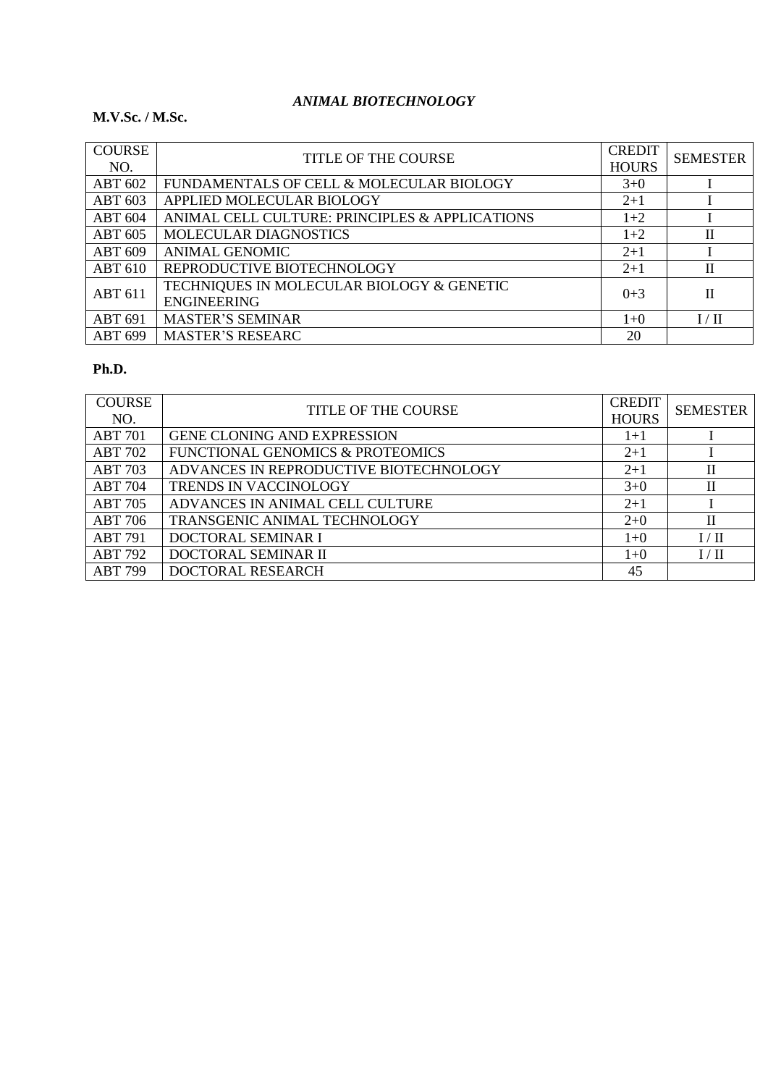## *ANIMAL BIOTECHNOLOGY*

#### **M.V.Sc. / M.Sc.**

| <b>COURSE</b><br>NO. | <b>TITLE OF THE COURSE</b>                                      | <b>CREDIT</b><br><b>HOURS</b> | <b>SEMESTER</b> |
|----------------------|-----------------------------------------------------------------|-------------------------------|-----------------|
| <b>ABT 602</b>       | FUNDAMENTALS OF CELL & MOLECULAR BIOLOGY                        | $3+0$                         |                 |
| ABT 603              | APPLIED MOLECULAR BIOLOGY                                       | $2+1$                         |                 |
| <b>ABT 604</b>       | ANIMAL CELL CULTURE: PRINCIPLES & APPLICATIONS                  | $1+2$                         |                 |
| <b>ABT 605</b>       | <b>MOLECULAR DIAGNOSTICS</b>                                    | $1+2$                         | $\mathbf{I}$    |
| <b>ABT 609</b>       | <b>ANIMAL GENOMIC</b>                                           | $2+1$                         |                 |
| <b>ABT 610</b>       | REPRODUCTIVE BIOTECHNOLOGY                                      | $2+1$                         | H               |
| <b>ABT 611</b>       | TECHNIQUES IN MOLECULAR BIOLOGY & GENETIC<br><b>ENGINEERING</b> | $0+3$                         | П               |
| <b>ABT 691</b>       | <b>MASTER'S SEMINAR</b>                                         | $1+0$                         | I/H             |
| ABT 699              | <b>MASTER'S RESEARC</b>                                         | 20                            |                 |

| <b>COURSE</b><br>NO. | <b>TITLE OF THE COURSE</b>                  | <b>CREDIT</b><br><b>HOURS</b> | <b>SEMESTER</b> |
|----------------------|---------------------------------------------|-------------------------------|-----------------|
| <b>ABT 701</b>       | <b>GENE CLONING AND EXPRESSION</b>          | $1+1$                         |                 |
| <b>ABT 702</b>       | <b>FUNCTIONAL GENOMICS &amp; PROTEOMICS</b> | $2 + 1$                       |                 |
| <b>ABT 703</b>       | ADVANCES IN REPRODUCTIVE BIOTECHNOLOGY      | $2+1$                         | П               |
| <b>ABT 704</b>       | TRENDS IN VACCINOLOGY                       | $3+0$                         | П               |
| <b>ABT 705</b>       | ADVANCES IN ANIMAL CELL CULTURE             | $2+1$                         |                 |
| <b>ABT 706</b>       | TRANSGENIC ANIMAL TECHNOLOGY                | $2+0$                         | $\mathbf{I}$    |
| <b>ABT 791</b>       | DOCTORAL SEMINAR I                          | $1+0$                         | I/II            |
| <b>ABT 792</b>       | DOCTORAL SEMINAR II                         | $1+0$                         | I/H             |
| <b>ABT 799</b>       | DOCTORAL RESEARCH                           | 45                            |                 |